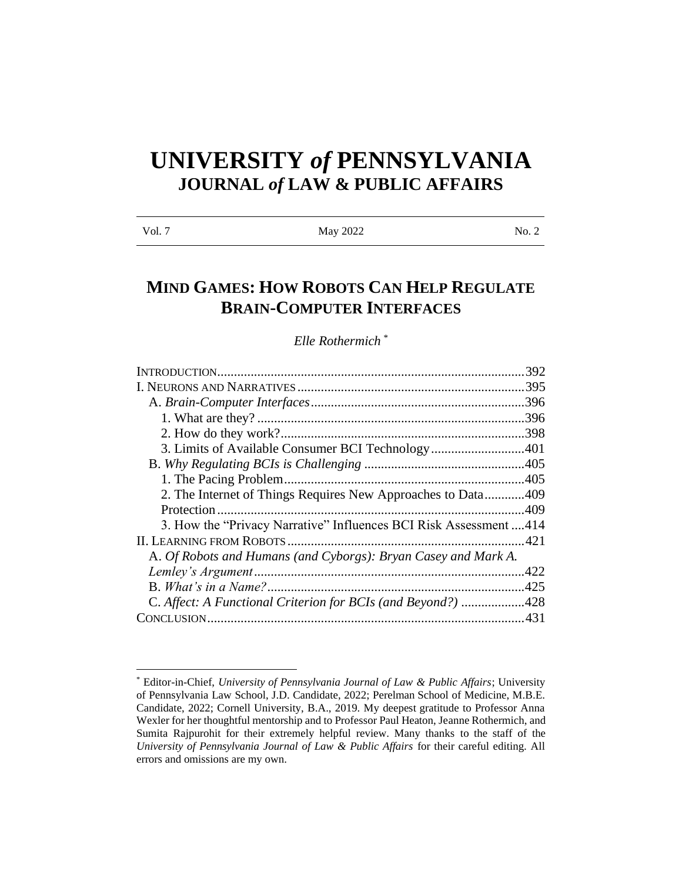# **UNIVERSITY** *of* **PENNSYLVANIA JOURNAL** *of* **LAW & PUBLIC AFFAIRS**

| Vol. 7 | May 2022 | No. 2 |
|--------|----------|-------|
|        |          |       |

# **MIND GAMES: HOW ROBOTS CAN HELP REGULATE BRAIN-COMPUTER INTERFACES**

*Elle Rothermich \**

| 392                                                               |
|-------------------------------------------------------------------|
| .395                                                              |
|                                                                   |
| .396                                                              |
|                                                                   |
| 3. Limits of Available Consumer BCI Technology401                 |
|                                                                   |
|                                                                   |
| 2. The Internet of Things Requires New Approaches to Data409      |
|                                                                   |
| 3. How the "Privacy Narrative" Influences BCI Risk Assessment 414 |
|                                                                   |
|                                                                   |
| .422                                                              |
|                                                                   |
| C. Affect: A Functional Criterion for BCIs (and Beyond?) 428      |
|                                                                   |
|                                                                   |

<sup>\*</sup> Editor-in-Chief, *University of Pennsylvania Journal of Law & Public Affairs*; University of Pennsylvania Law School, J.D. Candidate, 2022; Perelman School of Medicine, M.B.E. Candidate, 2022; Cornell University, B.A., 2019. My deepest gratitude to Professor Anna Wexler for her thoughtful mentorship and to Professor Paul Heaton, Jeanne Rothermich, and Sumita Rajpurohit for their extremely helpful review. Many thanks to the staff of the *University of Pennsylvania Journal of Law & Public Affairs* for their careful editing. All errors and omissions are my own.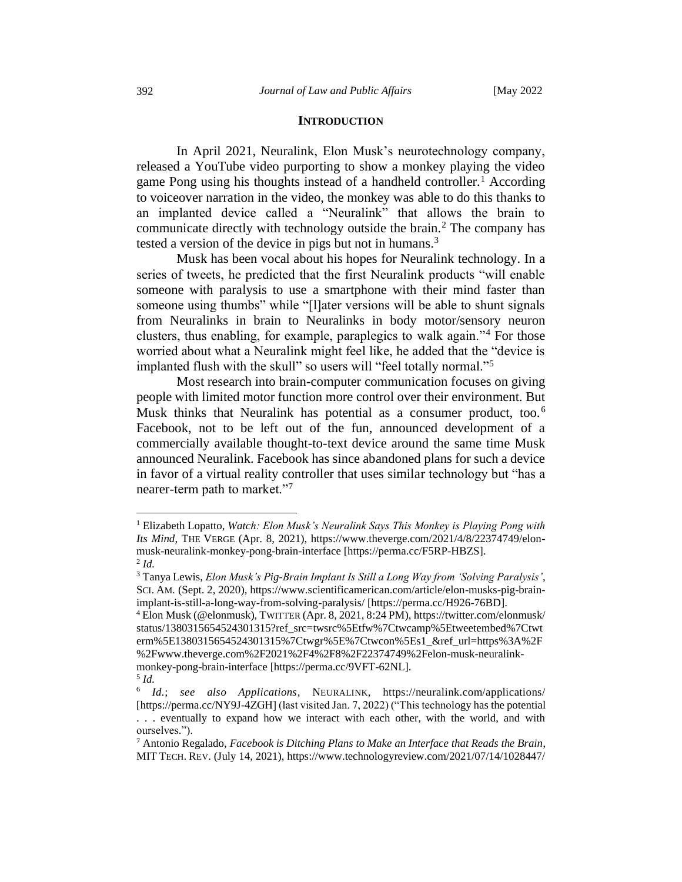#### **INTRODUCTION**

<span id="page-1-0"></span>In April 2021, Neuralink, Elon Musk's neurotechnology company, released a YouTube video purporting to show a monkey playing the video game Pong using his thoughts instead of a handheld controller.<sup>1</sup> According to voiceover narration in the video, the monkey was able to do this thanks to an implanted device called a "Neuralink" that allows the brain to communicate directly with technology outside the brain.<sup>2</sup> The company has tested a version of the device in pigs but not in humans.<sup>3</sup>

Musk has been vocal about his hopes for Neuralink technology. In a series of tweets, he predicted that the first Neuralink products "will enable someone with paralysis to use a smartphone with their mind faster than someone using thumbs" while "[I]ater versions will be able to shunt signals from Neuralinks in brain to Neuralinks in body motor/sensory neuron clusters, thus enabling, for example, paraplegics to walk again."<sup>4</sup> For those worried about what a Neuralink might feel like, he added that the "device is implanted flush with the skull" so users will "feel totally normal."<sup>5</sup>

Most research into brain-computer communication focuses on giving people with limited motor function more control over their environment. But Musk thinks that Neuralink has potential as a consumer product, too.<sup>6</sup> Facebook, not to be left out of the fun, announced development of a commercially available thought-to-text device around the same time Musk announced Neuralink. Facebook has since abandoned plans for such a device in favor of a virtual reality controller that uses similar technology but "has a nearer-term path to market."<sup>7</sup>

<sup>1</sup> Elizabeth Lopatto, *Watch: Elon Musk's Neuralink Says This Monkey is Playing Pong with Its Mind*, THE VERGE (Apr. 8, 2021), https://www.theverge.com/2021/4/8/22374749/elonmusk-neuralink-monkey-pong-brain-interface [https://perma.cc/F5RP-HBZS]. 2 *Id.* 

<sup>3</sup> Tanya Lewis, *Elon Musk's Pig-Brain Implant Is Still a Long Way from 'Solving Paralysis'*, SCI. AM. (Sept. 2, 2020), https://www.scientificamerican.com/article/elon-musks-pig-brainimplant-is-still-a-long-way-from-solving-paralysis/ [https://perma.cc/H926-76BD].

<sup>4</sup> Elon Musk (@elonmusk), TWITTER (Apr. 8, 2021, 8:24 PM), https://twitter.com/elonmusk/ status/1380315654524301315?ref\_src=twsrc%5Etfw%7Ctwcamp%5Etweetembed%7Ctwt erm%5E1380315654524301315%7Ctwgr%5E%7Ctwcon%5Es1\_&ref\_url=https%3A%2F %2Fwww.theverge.com%2F2021%2F4%2F8%2F22374749%2Felon-musk-neuralinkmonkey-pong-brain-interface [https://perma.cc/9VFT-62NL].

<sup>5</sup> *Id.* 

<sup>6</sup> *Id.*; *see also Applications*, NEURALINK, https://neuralink.com/applications/ [https://perma.cc/NY9J-4ZGH] (last visited Jan. 7, 2022) ("This technology has the potential . . . eventually to expand how we interact with each other, with the world, and with ourselves.").

<sup>7</sup> Antonio Regalado, *Facebook is Ditching Plans to Make an Interface that Reads the Brain*, MIT TECH. REV. (July 14, 2021), https://www.technologyreview.com/2021/07/14/1028447/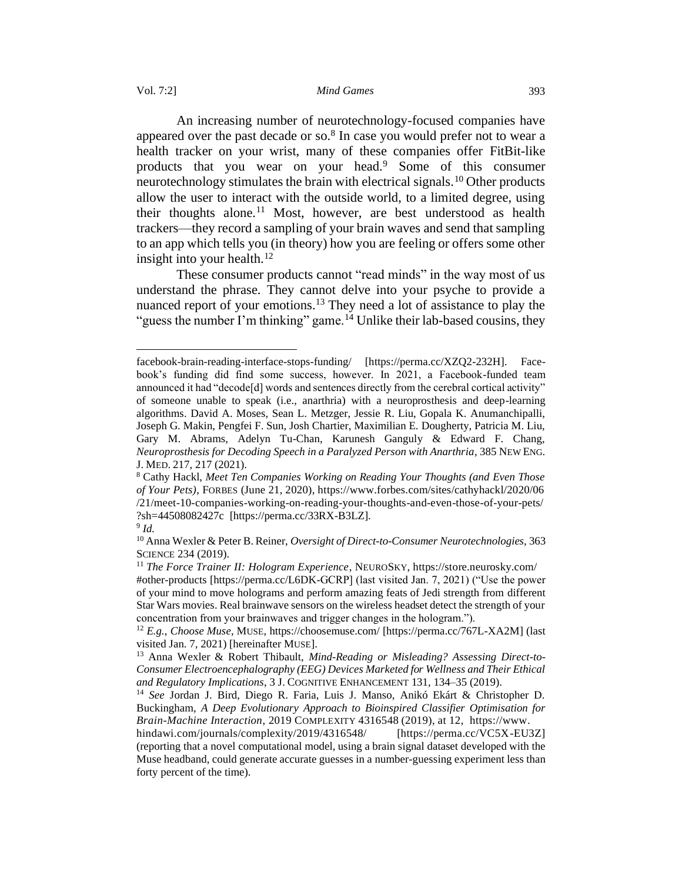An increasing number of neurotechnology-focused companies have appeared over the past decade or so. $8$  In case you would prefer not to wear a health tracker on your wrist, many of these companies offer FitBit-like products that you wear on your head.<sup>9</sup> Some of this consumer neurotechnology stimulates the brain with electrical signals.<sup>10</sup> Other products allow the user to interact with the outside world, to a limited degree, using their thoughts alone.<sup>11</sup> Most, however, are best understood as health trackers—they record a sampling of your brain waves and send that sampling to an app which tells you (in theory) how you are feeling or offers some other insight into your health. $12$ 

These consumer products cannot "read minds" in the way most of us understand the phrase. They cannot delve into your psyche to provide a nuanced report of your emotions.<sup>13</sup> They need a lot of assistance to play the "guess the number I'm thinking" game.<sup>14</sup> Unlike their lab-based cousins, they

facebook-brain-reading-interface-stops-funding/ [https://perma.cc/XZQ2-232H]. Facebook's funding did find some success, however. In 2021, a Facebook-funded team announced it had "decode[d] words and sentences directly from the cerebral cortical activity" of someone unable to speak (i.e., anarthria) with a neuroprosthesis and deep-learning algorithms. David A. Moses, Sean L. Metzger, Jessie R. Liu, Gopala K. Anumanchipalli, Joseph G. Makin, Pengfei F. Sun, Josh Chartier, Maximilian E. Dougherty, Patricia M. Liu, Gary M. Abrams, Adelyn Tu-Chan, Karunesh Ganguly & Edward F. Chang, *Neuroprosthesis for Decoding Speech in a Paralyzed Person with Anarthria*, 385 NEW ENG. J. MED. 217, 217 (2021).

<sup>8</sup> Cathy Hackl, *Meet Ten Companies Working on Reading Your Thoughts (and Even Those of Your Pets)*, FORBES (June 21, 2020), https://www.forbes.com/sites/cathyhackl/2020/06 /21/meet-10-companies-working-on-reading-your-thoughts-and-even-those-of-your-pets/ ?sh=44508082427c [https://perma.cc/33RX-B3LZ].

<sup>9</sup> *Id.* 

<sup>10</sup> Anna Wexler & Peter B. Reiner, *Oversight of Direct-to-Consumer Neurotechnologies,* 363 SCIENCE 234 (2019).

<sup>11</sup> *The Force Trainer II: Hologram Experience*, NEUROSKY, https://store.neurosky.com/ #other-products [https://perma.cc/L6DK-GCRP] (last visited Jan. 7, 2021) ("Use the power of your mind to move holograms and perform amazing feats of Jedi strength from different Star Wars movies. Real brainwave sensors on the wireless headset detect the strength of your concentration from your brainwaves and trigger changes in the hologram.").

<sup>12</sup> *E.g.*, *Choose Muse*, MUSE, https://choosemuse.com/ [https://perma.cc/767L-XA2M] (last visited Jan. 7, 2021) [hereinafter MUSE].

<sup>13</sup> Anna Wexler & Robert Thibault, *Mind-Reading or Misleading? Assessing Direct-to-Consumer Electroencephalography (EEG) Devices Marketed for Wellness and Their Ethical and Regulatory Implications*, 3 J. COGNITIVE ENHANCEMENT 131, 134–35 (2019).

<sup>14</sup> *See* Jordan J. Bird, Diego R. Faria, Luis J. Manso, Anikó Ekárt & Christopher D. Buckingham, *A Deep Evolutionary Approach to Bioinspired Classifier Optimisation for Brain-Machine Interaction*, 2019 COMPLEXITY 4316548 (2019), at 12, https://www.

hindawi.com/journals/complexity/2019/4316548/ [https://perma.cc/VC5X-EU3Z] (reporting that a novel computational model, using a brain signal dataset developed with the Muse headband, could generate accurate guesses in a number-guessing experiment less than forty percent of the time).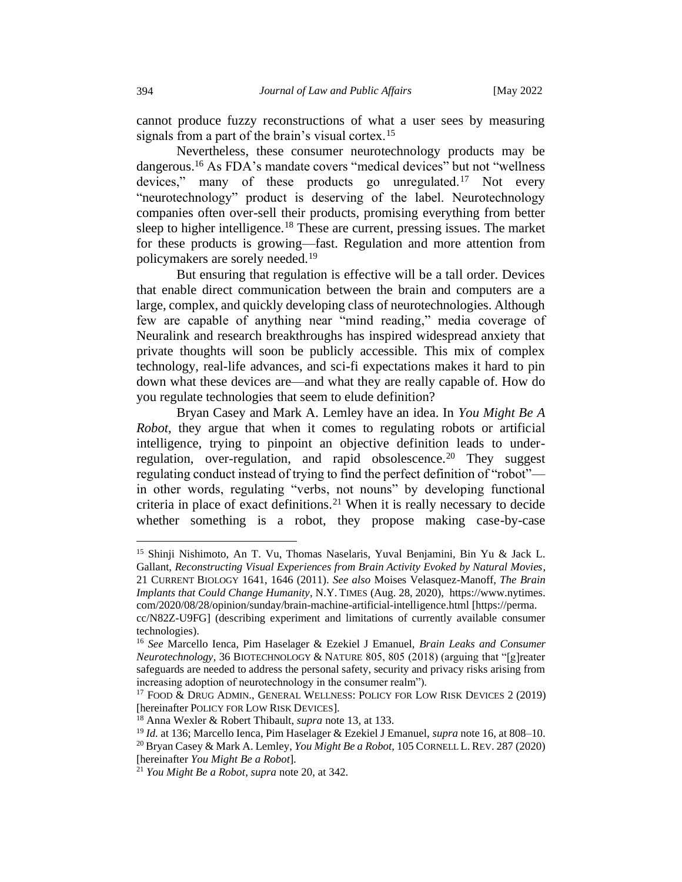cannot produce fuzzy reconstructions of what a user sees by measuring signals from a part of the brain's visual cortex.<sup>15</sup>

Nevertheless, these consumer neurotechnology products may be dangerous.<sup>16</sup> As FDA's mandate covers "medical devices" but not "wellness devices," many of these products go unregulated.<sup>17</sup> Not every "neurotechnology" product is deserving of the label. Neurotechnology companies often over-sell their products, promising everything from better sleep to higher intelligence.<sup>18</sup> These are current, pressing issues. The market for these products is growing—fast. Regulation and more attention from policymakers are sorely needed.<sup>19</sup>

But ensuring that regulation is effective will be a tall order. Devices that enable direct communication between the brain and computers are a large, complex, and quickly developing class of neurotechnologies. Although few are capable of anything near "mind reading," media coverage of Neuralink and research breakthroughs has inspired widespread anxiety that private thoughts will soon be publicly accessible. This mix of complex technology, real-life advances, and sci-fi expectations makes it hard to pin down what these devices are—and what they are really capable of. How do you regulate technologies that seem to elude definition?

Bryan Casey and Mark A. Lemley have an idea. In *You Might Be A Robot*, they argue that when it comes to regulating robots or artificial intelligence, trying to pinpoint an objective definition leads to underregulation, over-regulation, and rapid obsolescence.<sup>20</sup> They suggest regulating conduct instead of trying to find the perfect definition of "robot" in other words, regulating "verbs, not nouns" by developing functional criteria in place of exact definitions.<sup>21</sup> When it is really necessary to decide whether something is a robot, they propose making case-by-case

<sup>&</sup>lt;sup>15</sup> Shinji Nishimoto, An T. Vu, Thomas Naselaris, Yuval Benjamini, Bin Yu & Jack L. Gallant, *Reconstructing Visual Experiences from Brain Activity Evoked by Natural Movies*, 21 CURRENT BIOLOGY 1641, 1646 (2011). *See also* Moises Velasquez-Manoff, *The Brain Implants that Could Change Humanity*, N.Y. TIMES (Aug. 28, 2020), https://www.nytimes. com/2020/08/28/opinion/sunday/brain-machine-artificial-intelligence.html [https://perma.

cc/N82Z-U9FG] (describing experiment and limitations of currently available consumer technologies).

<sup>16</sup> *See* Marcello Ienca, Pim Haselager & Ezekiel J Emanuel, *Brain Leaks and Consumer Neurotechnology*, 36 BIOTECHNOLOGY & NATURE 805, 805 (2018) (arguing that "[g]reater safeguards are needed to address the personal safety, security and privacy risks arising from increasing adoption of neurotechnology in the consumer realm").

<sup>17</sup> FOOD & DRUG ADMIN., GENERAL WELLNESS: POLICY FOR LOW RISK DEVICES 2 (2019) [hereinafter POLICY FOR LOW RISK DEVICES].

<sup>18</sup> Anna Wexler & Robert Thibault, *supra* note 13, at 133.

<sup>19</sup> *Id.* at 136; Marcello Ienca, Pim Haselager & Ezekiel J Emanuel, *supra* note 16, at 808–10.

<sup>20</sup> Bryan Casey & Mark A. Lemley, *You Might Be a Robot*, 105 CORNELL L. REV. 287 (2020) [hereinafter *You Might Be a Robot*].

<sup>21</sup> *You Might Be a Robot, supra* note 20, at 342.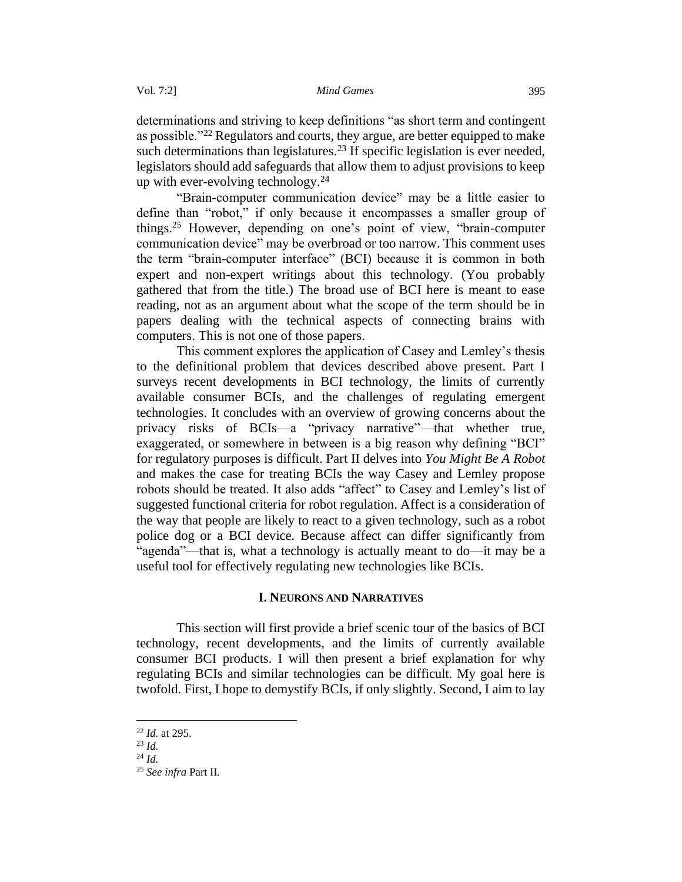determinations and striving to keep definitions "as short term and contingent as possible."<sup>22</sup> Regulators and courts, they argue, are better equipped to make such determinations than legislatures.<sup>23</sup> If specific legislation is ever needed, legislators should add safeguards that allow them to adjust provisions to keep up with ever-evolving technology.<sup>24</sup>

"Brain-computer communication device" may be a little easier to define than "robot," if only because it encompasses a smaller group of things.<sup>25</sup> However, depending on one's point of view, "brain-computer communication device" may be overbroad or too narrow. This comment uses the term "brain-computer interface" (BCI) because it is common in both expert and non-expert writings about this technology. (You probably gathered that from the title.) The broad use of BCI here is meant to ease reading, not as an argument about what the scope of the term should be in papers dealing with the technical aspects of connecting brains with computers. This is not one of those papers.

This comment explores the application of Casey and Lemley's thesis to the definitional problem that devices described above present. Part I surveys recent developments in BCI technology, the limits of currently available consumer BCIs, and the challenges of regulating emergent technologies. It concludes with an overview of growing concerns about the privacy risks of BCIs—a "privacy narrative"—that whether true, exaggerated, or somewhere in between is a big reason why defining "BCI" for regulatory purposes is difficult. Part II delves into *You Might Be A Robot*  and makes the case for treating BCIs the way Casey and Lemley propose robots should be treated. It also adds "affect" to Casey and Lemley's list of suggested functional criteria for robot regulation. Affect is a consideration of the way that people are likely to react to a given technology, such as a robot police dog or a BCI device. Because affect can differ significantly from "agenda"—that is, what a technology is actually meant to do—it may be a useful tool for effectively regulating new technologies like BCIs.

# **I. NEURONS AND NARRATIVES**

<span id="page-4-0"></span>This section will first provide a brief scenic tour of the basics of BCI technology, recent developments, and the limits of currently available consumer BCI products. I will then present a brief explanation for why regulating BCIs and similar technologies can be difficult. My goal here is twofold. First, I hope to demystify BCIs, if only slightly. Second, I aim to lay

<sup>22</sup> *Id.* at 295.

<sup>23</sup> *Id.*

<sup>24</sup> *Id.*

<sup>25</sup> *See infra* Part II*.*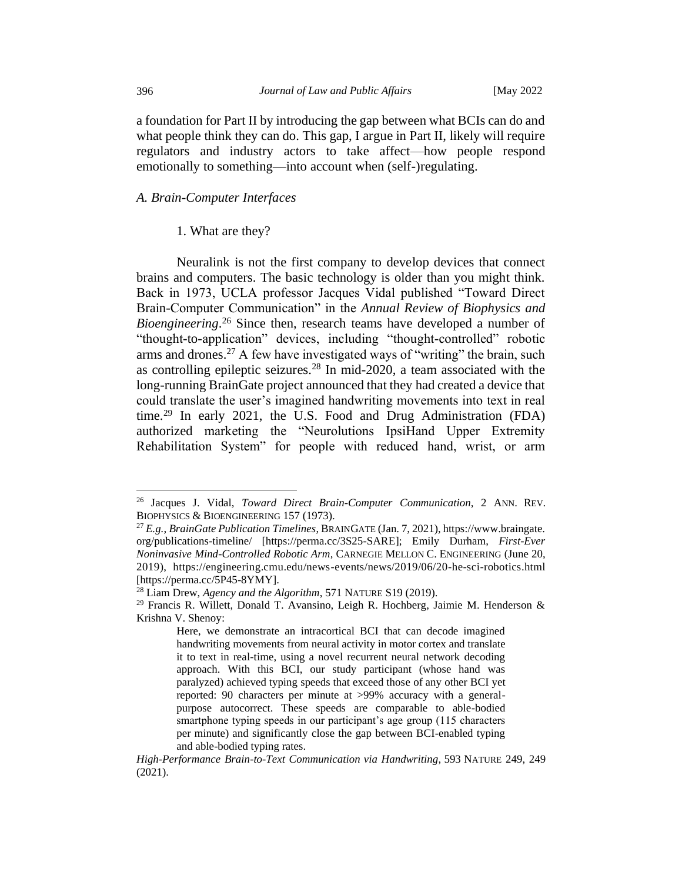a foundation for Part II by introducing the gap between what BCIs can do and what people think they can do. This gap, I argue in Part II, likely will require regulators and industry actors to take affect—how people respond emotionally to something—into account when (self-)regulating.

#### <span id="page-5-1"></span><span id="page-5-0"></span>*A. Brain-Computer Interfaces*

#### 1. What are they?

Neuralink is not the first company to develop devices that connect brains and computers. The basic technology is older than you might think. Back in 1973, UCLA professor Jacques Vidal published "Toward Direct Brain-Computer Communication" in the *Annual Review of Biophysics and Bioengineering*. <sup>26</sup> Since then, research teams have developed a number of "thought-to-application" devices, including "thought-controlled" robotic arms and drones.<sup>27</sup> A few have investigated ways of "writing" the brain, such as controlling epileptic seizures.<sup>28</sup> In mid-2020, a team associated with the long-running BrainGate project announced that they had created a device that could translate the user's imagined handwriting movements into text in real time.<sup>29</sup> In early 2021, the U.S. Food and Drug Administration (FDA) authorized marketing the "Neurolutions IpsiHand Upper Extremity Rehabilitation System" for people with reduced hand, wrist, or arm

<sup>26</sup> Jacques J. Vidal, *Toward Direct Brain-Computer Communication*, 2 ANN. REV. BIOPHYSICS & BIOENGINEERING 157 (1973).

<sup>27</sup> *E.g.*, *BrainGate Publication Timelines*, BRAINGATE (Jan. 7, 2021), https://www.braingate. org/publications-timeline/ [https://perma.cc/3S25-SARE]; Emily Durham, *First-Ever Noninvasive Mind-Controlled Robotic Arm*, CARNEGIE MELLON C. ENGINEERING (June 20, 2019), https://engineering.cmu.edu/news-events/news/2019/06/20-he-sci-robotics.html [https://perma.cc/5P45-8YMY].

<sup>28</sup> Liam Drew, *Agency and the Algorithm*, 571 NATURE S19 (2019).

<sup>&</sup>lt;sup>29</sup> Francis R. Willett, Donald T. Avansino, Leigh R. Hochberg, Jaimie M. Henderson & Krishna V. Shenoy:

Here, we demonstrate an intracortical BCI that can decode imagined handwriting movements from neural activity in motor cortex and translate it to text in real-time, using a novel recurrent neural network decoding approach. With this BCI, our study participant (whose hand was paralyzed) achieved typing speeds that exceed those of any other BCI yet reported: 90 characters per minute at >99% accuracy with a generalpurpose autocorrect. These speeds are comparable to able-bodied smartphone typing speeds in our participant's age group (115 characters per minute) and significantly close the gap between BCI-enabled typing and able-bodied typing rates.

*High-Performance Brain-to-Text Communication via Handwriting*, 593 NATURE 249, 249 (2021).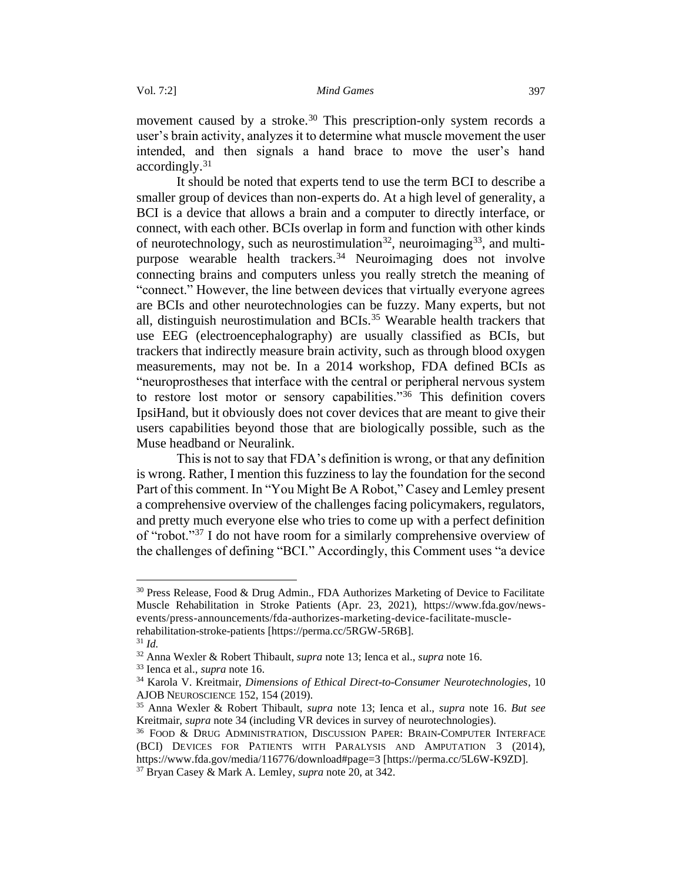movement caused by a stroke.<sup>30</sup> This prescription-only system records a user's brain activity, analyzes it to determine what muscle movement the user intended, and then signals a hand brace to move the user's hand accordingly.<sup>31</sup>

It should be noted that experts tend to use the term BCI to describe a smaller group of devices than non-experts do. At a high level of generality, a BCI is a device that allows a brain and a computer to directly interface, or connect, with each other. BCIs overlap in form and function with other kinds of neurotechnology, such as neurostimulation<sup>32</sup>, neuroimaging<sup>33</sup>, and multipurpose wearable health trackers.<sup>34</sup> Neuroimaging does not involve connecting brains and computers unless you really stretch the meaning of "connect." However, the line between devices that virtually everyone agrees are BCIs and other neurotechnologies can be fuzzy. Many experts, but not all, distinguish neurostimulation and BCIs.<sup>35</sup> Wearable health trackers that use EEG (electroencephalography) are usually classified as BCIs, but trackers that indirectly measure brain activity, such as through blood oxygen measurements, may not be. In a 2014 workshop, FDA defined BCIs as "neuroprostheses that interface with the central or peripheral nervous system to restore lost motor or sensory capabilities."<sup>36</sup> This definition covers IpsiHand, but it obviously does not cover devices that are meant to give their users capabilities beyond those that are biologically possible, such as the Muse headband or Neuralink.

This is not to say that FDA's definition is wrong, or that any definition is wrong. Rather, I mention this fuzziness to lay the foundation for the second Part of this comment. In "You Might Be A Robot," Casey and Lemley present a comprehensive overview of the challenges facing policymakers, regulators, and pretty much everyone else who tries to come up with a perfect definition of "robot."<sup>37</sup> I do not have room for a similarly comprehensive overview of the challenges of defining "BCI." Accordingly, this Comment uses "a device

 $30$  Press Release, Food & Drug Admin., FDA Authorizes Marketing of Device to Facilitate Muscle Rehabilitation in Stroke Patients (Apr. 23, 2021), https://www.fda.gov/newsevents/press-announcements/fda-authorizes-marketing-device-facilitate-musclerehabilitation-stroke-patients [https://perma.cc/5RGW-5R6B].

 $31$  *Id.* 

<sup>32</sup> Anna Wexler & Robert Thibault, *supra* note 13; Ienca et al., *supra* note 16.

<sup>33</sup> Ienca et al., *supra* note 16.

<sup>34</sup> Karola V. Kreitmair, *Dimensions of Ethical Direct-to-Consumer Neurotechnologies*, 10 AJOB NEUROSCIENCE 152, 154 (2019).

<sup>35</sup> Anna Wexler & Robert Thibault, *supra* note 13; Ienca et al., *supra* note 16. *But see*  Kreitmair, *supra* note 34 (including VR devices in survey of neurotechnologies).

<sup>36</sup> FOOD & DRUG ADMINISTRATION, DISCUSSION PAPER: BRAIN-COMPUTER INTERFACE (BCI) DEVICES FOR PATIENTS WITH PARALYSIS AND AMPUTATION 3 (2014), https://www.fda.gov/media/116776/download#page=3 [https://perma.cc/5L6W-K9ZD].

<sup>37</sup> Bryan Casey & Mark A. Lemley, *supra* note 20, at 342.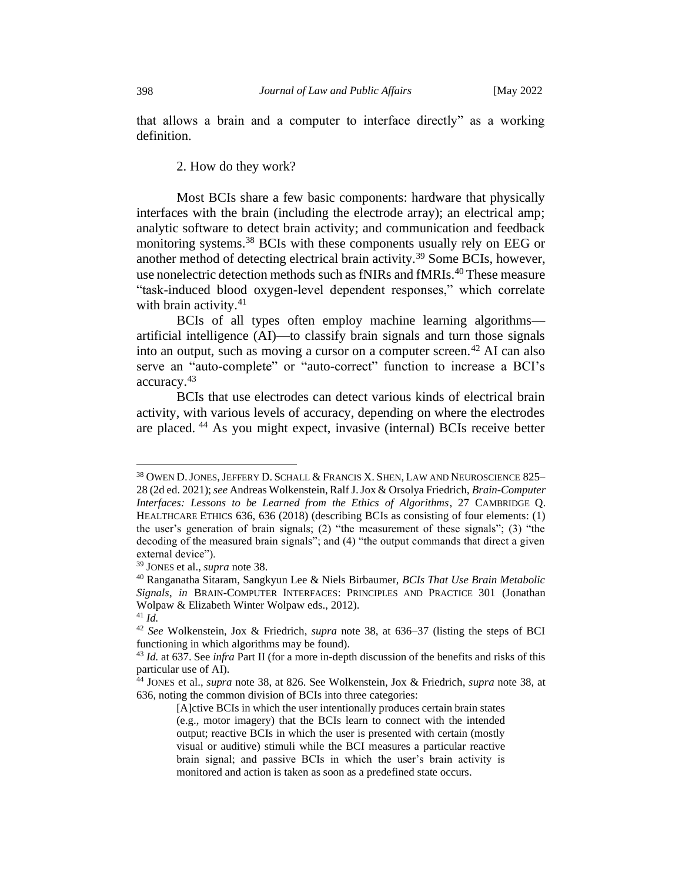that allows a brain and a computer to interface directly" as a working definition.

2. How do they work?

<span id="page-7-0"></span>Most BCIs share a few basic components: hardware that physically interfaces with the brain (including the electrode array); an electrical amp; analytic software to detect brain activity; and communication and feedback monitoring systems.<sup>38</sup> BCIs with these components usually rely on EEG or another method of detecting electrical brain activity.<sup>39</sup> Some BCIs, however, use nonelectric detection methods such as fNIRs and fMRIs.<sup>40</sup> These measure "task-induced blood oxygen-level dependent responses," which correlate with brain activity. $41$ 

BCIs of all types often employ machine learning algorithms artificial intelligence (AI)—to classify brain signals and turn those signals into an output, such as moving a cursor on a computer screen.<sup>42</sup> AI can also serve an "auto-complete" or "auto-correct" function to increase a BCI's accuracy.<sup>43</sup>

BCIs that use electrodes can detect various kinds of electrical brain activity, with various levels of accuracy, depending on where the electrodes are placed. <sup>44</sup> As you might expect, invasive (internal) BCIs receive better

<sup>&</sup>lt;sup>38</sup> OWEN D. JONES, JEFFERY D. SCHALL & FRANCIS X. SHEN, LAW AND NEUROSCIENCE 825-28 (2d ed. 2021); *see* Andreas Wolkenstein, Ralf J. Jox & Orsolya Friedrich, *Brain-Computer Interfaces: Lessons to be Learned from the Ethics of Algorithms*, 27 CAMBRIDGE Q. HEALTHCARE ETHICS 636, 636 (2018) (describing BCIs as consisting of four elements: (1) the user's generation of brain signals; (2) "the measurement of these signals"; (3) "the decoding of the measured brain signals"; and (4) "the output commands that direct a given external device").

<sup>39</sup> JONES et al., *supra* note 38.

<sup>40</sup> Ranganatha Sitaram, Sangkyun Lee & Niels Birbaumer, *BCIs That Use Brain Metabolic Signals*, *in* BRAIN-COMPUTER INTERFACES: PRINCIPLES AND PRACTICE 301 (Jonathan Wolpaw & Elizabeth Winter Wolpaw eds., 2012).

<sup>41</sup> *Id.* 

<sup>42</sup> *See* Wolkenstein, Jox & Friedrich, *supra* note 38, at 636–37 (listing the steps of BCI functioning in which algorithms may be found).

<sup>43</sup> *Id.* at 637. See *infra* Part II (for a more in-depth discussion of the benefits and risks of this particular use of AI).

<sup>44</sup> JONES et al., *supra* note 38, at 826. See Wolkenstein, Jox & Friedrich, *supra* note 38, at 636, noting the common division of BCIs into three categories:

<sup>[</sup>A]ctive BCIs in which the user intentionally produces certain brain states (e.g., motor imagery) that the BCIs learn to connect with the intended output; reactive BCIs in which the user is presented with certain (mostly visual or auditive) stimuli while the BCI measures a particular reactive brain signal; and passive BCIs in which the user's brain activity is monitored and action is taken as soon as a predefined state occurs.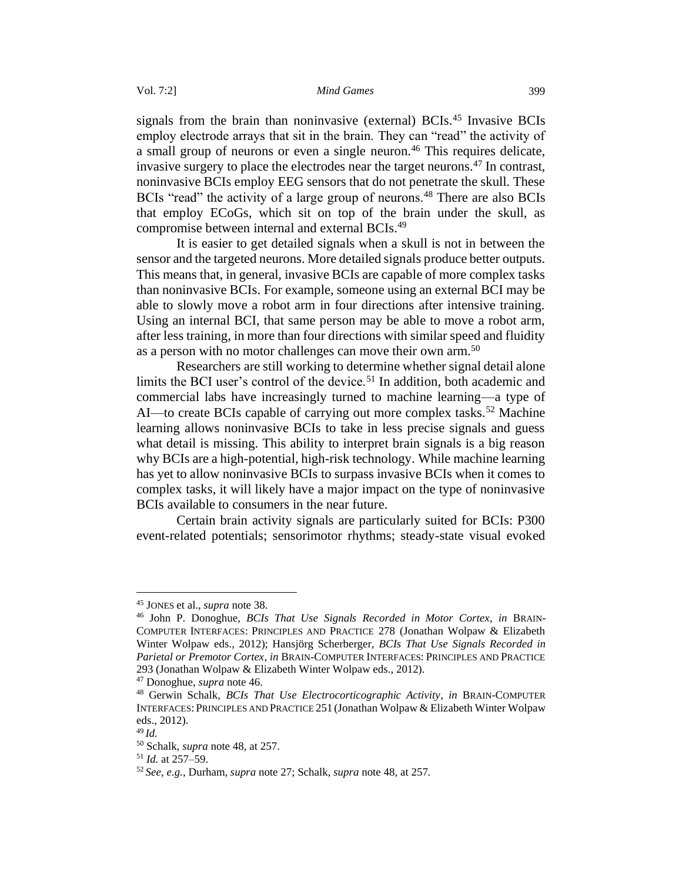signals from the brain than noninvasive (external) BCIs.<sup>45</sup> Invasive BCIs employ electrode arrays that sit in the brain. They can "read" the activity of a small group of neurons or even a single neuron.<sup>46</sup> This requires delicate, invasive surgery to place the electrodes near the target neurons.<sup>47</sup> In contrast, noninvasive BCIs employ EEG sensors that do not penetrate the skull. These BCIs "read" the activity of a large group of neurons.<sup>48</sup> There are also BCIs that employ ECoGs, which sit on top of the brain under the skull, as compromise between internal and external BCIs.<sup>49</sup>

It is easier to get detailed signals when a skull is not in between the sensor and the targeted neurons. More detailed signals produce better outputs. This means that, in general, invasive BCIs are capable of more complex tasks than noninvasive BCIs. For example, someone using an external BCI may be able to slowly move a robot arm in four directions after intensive training. Using an internal BCI, that same person may be able to move a robot arm, after less training, in more than four directions with similar speed and fluidity as a person with no motor challenges can move their own arm.<sup>50</sup>

Researchers are still working to determine whether signal detail alone limits the BCI user's control of the device.<sup>51</sup> In addition, both academic and commercial labs have increasingly turned to machine learning—a type of AI—to create BCIs capable of carrying out more complex tasks.<sup>52</sup> Machine learning allows noninvasive BCIs to take in less precise signals and guess what detail is missing. This ability to interpret brain signals is a big reason why BCIs are a high-potential, high-risk technology. While machine learning has yet to allow noninvasive BCIs to surpass invasive BCIs when it comes to complex tasks, it will likely have a major impact on the type of noninvasive BCIs available to consumers in the near future.

Certain brain activity signals are particularly suited for BCIs: P300 event-related potentials; sensorimotor rhythms; steady-state visual evoked

<sup>45</sup> JONES et al., *supra* note 38.

<sup>46</sup> John P. Donoghue, *BCIs That Use Signals Recorded in Motor Cortex*, *in* BRAIN-COMPUTER INTERFACES: PRINCIPLES AND PRACTICE 278 (Jonathan Wolpaw & Elizabeth Winter Wolpaw eds., 2012); Hansjörg Scherberger, *BCIs That Use Signals Recorded in Parietal or Premotor Cortex*, *in* BRAIN-COMPUTER INTERFACES:PRINCIPLES AND PRACTICE 293 (Jonathan Wolpaw & Elizabeth Winter Wolpaw eds., 2012).

<sup>47</sup> Donoghue, *supra* note 46.

<sup>48</sup> Gerwin Schalk, *BCIs That Use Electrocorticographic Activity*, *in* BRAIN-COMPUTER INTERFACES:PRINCIPLES AND PRACTICE 251 (Jonathan Wolpaw & Elizabeth Winter Wolpaw eds., 2012).

<sup>49</sup> *Id.*

<sup>50</sup> Schalk, *supra* note 48, at 257.

<sup>51</sup> *Id.* at 257–59.

<sup>52</sup> *See, e.g.*, Durham, *supra* note 27; Schalk, *supra* note 48, at 257.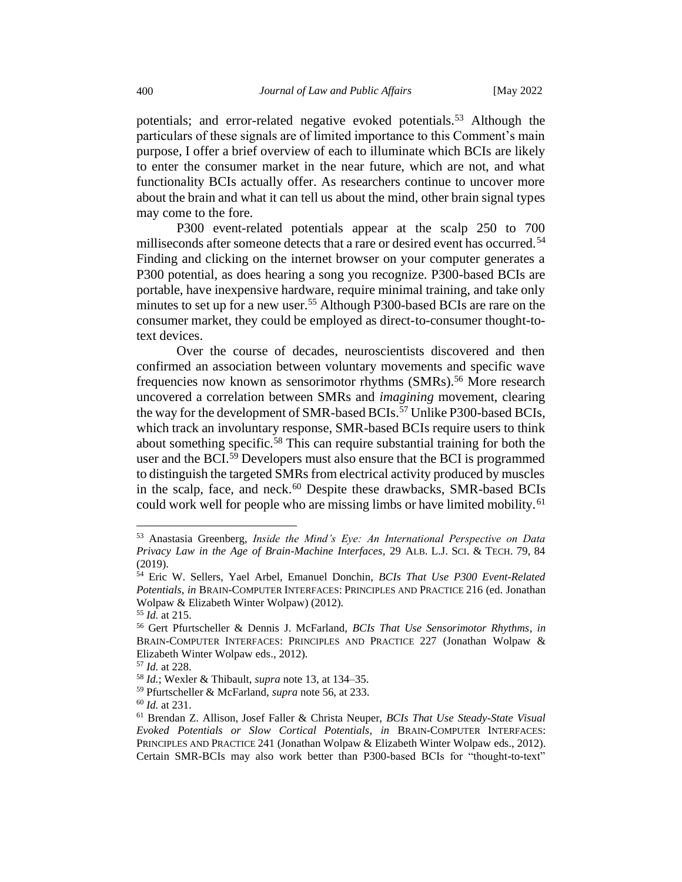potentials; and error-related negative evoked potentials.<sup>53</sup> Although the particulars of these signals are of limited importance to this Comment's main purpose, I offer a brief overview of each to illuminate which BCIs are likely to enter the consumer market in the near future, which are not, and what functionality BCIs actually offer. As researchers continue to uncover more about the brain and what it can tell us about the mind, other brain signal types may come to the fore.

P300 event-related potentials appear at the scalp 250 to 700 milliseconds after someone detects that a rare or desired event has occurred.<sup>54</sup> Finding and clicking on the internet browser on your computer generates a P300 potential, as does hearing a song you recognize. P300-based BCIs are portable, have inexpensive hardware, require minimal training, and take only minutes to set up for a new user.<sup>55</sup> Although P300-based BCIs are rare on the consumer market, they could be employed as direct-to-consumer thought-totext devices.

Over the course of decades, neuroscientists discovered and then confirmed an association between voluntary movements and specific wave frequencies now known as sensorimotor rhythms (SMRs).<sup>56</sup> More research uncovered a correlation between SMRs and *imagining* movement, clearing the way for the development of SMR-based BCIs.<sup>57</sup> Unlike P300-based BCIs, which track an involuntary response, SMR-based BCIs require users to think about something specific.<sup>58</sup> This can require substantial training for both the user and the BCI.<sup>59</sup> Developers must also ensure that the BCI is programmed to distinguish the targeted SMRs from electrical activity produced by muscles in the scalp, face, and neck.<sup>60</sup> Despite these drawbacks, SMR-based BCIs could work well for people who are missing limbs or have limited mobility.<sup>61</sup>

<sup>53</sup> Anastasia Greenberg, *Inside the Mind's Eye: An International Perspective on Data Privacy Law in the Age of Brain-Machine Interfaces*, 29 ALB. L.J. SCI. & TECH. 79, 84 (2019).

<sup>54</sup> Eric W. Sellers, Yael Arbel, Emanuel Donchin, *BCIs That Use P300 Event-Related Potentials*, *in* BRAIN-COMPUTER INTERFACES:PRINCIPLES AND PRACTICE 216 (ed. Jonathan Wolpaw & Elizabeth Winter Wolpaw) (2012).

<sup>55</sup> *Id.* at 215.

<sup>56</sup> Gert Pfurtscheller & Dennis J. McFarland, *BCIs That Use Sensorimotor Rhythms*, *in* BRAIN-COMPUTER INTERFACES: PRINCIPLES AND PRACTICE 227 (Jonathan Wolpaw & Elizabeth Winter Wolpaw eds., 2012).

<sup>57</sup> *Id.* at 228.

<sup>58</sup> *Id.*; Wexler & Thibault, *supra* note 13, at 134–35.

<sup>59</sup> Pfurtscheller & McFarland, *supra* note 56, at 233.

<sup>60</sup> *Id.* at 231.

<sup>61</sup> Brendan Z. Allison, Josef Faller & Christa Neuper, *BCIs That Use Steady-State Visual Evoked Potentials or Slow Cortical Potentials*, *in* BRAIN-COMPUTER INTERFACES: PRINCIPLES AND PRACTICE 241 (Jonathan Wolpaw & Elizabeth Winter Wolpaw eds., 2012). Certain SMR-BCIs may also work better than P300-based BCIs for "thought-to-text"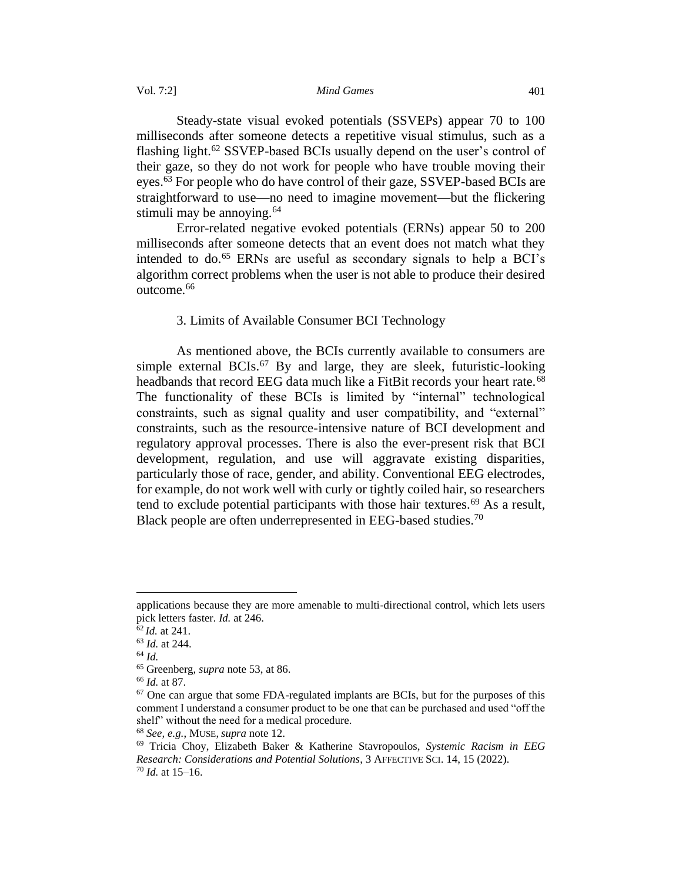Vol. 7:2] *Mind Games* 401

Steady-state visual evoked potentials (SSVEPs) appear 70 to 100 milliseconds after someone detects a repetitive visual stimulus, such as a flashing light.<sup>62</sup> SSVEP-based BCIs usually depend on the user's control of their gaze, so they do not work for people who have trouble moving their eyes.<sup>63</sup> For people who do have control of their gaze, SSVEP-based BCIs are straightforward to use—no need to imagine movement—but the flickering stimuli may be annoying.  $64$ 

Error-related negative evoked potentials (ERNs) appear 50 to 200 milliseconds after someone detects that an event does not match what they intended to do.<sup>65</sup> ERNs are useful as secondary signals to help a BCI's algorithm correct problems when the user is not able to produce their desired outcome.<sup>66</sup>

# 3. Limits of Available Consumer BCI Technology

<span id="page-10-0"></span>As mentioned above, the BCIs currently available to consumers are simple external BCIs.<sup>67</sup> By and large, they are sleek, futuristic-looking headbands that record EEG data much like a FitBit records your heart rate.<sup>68</sup> The functionality of these BCIs is limited by "internal" technological constraints, such as signal quality and user compatibility, and "external" constraints, such as the resource-intensive nature of BCI development and regulatory approval processes. There is also the ever-present risk that BCI development, regulation, and use will aggravate existing disparities, particularly those of race, gender, and ability. Conventional EEG electrodes, for example, do not work well with curly or tightly coiled hair, so researchers tend to exclude potential participants with those hair textures.<sup>69</sup> As a result, Black people are often underrepresented in EEG-based studies.<sup>70</sup>

applications because they are more amenable to multi-directional control, which lets users pick letters faster. *Id.* at 246.

<sup>62</sup> *Id.* at 241.

<sup>63</sup> *Id.* at 244.

<sup>64</sup> *Id.*

<sup>65</sup> Greenberg, *supra* note 53, at 86.

<sup>66</sup> *Id.* at 87.

<sup>&</sup>lt;sup>67</sup> One can argue that some FDA-regulated implants are BCIs, but for the purposes of this comment I understand a consumer product to be one that can be purchased and used "off the shelf" without the need for a medical procedure.

<sup>68</sup> *See, e.g.*, MUSE, *supra* note 12.

<sup>69</sup> Tricia Choy, Elizabeth Baker & Katherine Stavropoulos, *Systemic Racism in EEG Research: Considerations and Potential Solutions*, 3 AFFECTIVE SCI. 14, 15 (2022). <sup>70</sup> *Id.* at 15–16.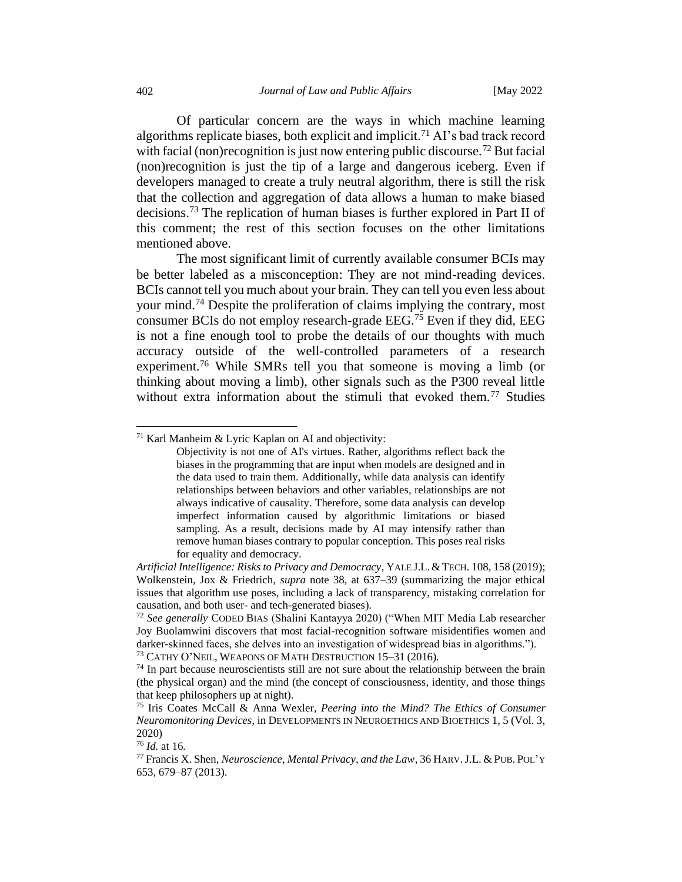Of particular concern are the ways in which machine learning algorithms replicate biases, both explicit and implicit.<sup>71</sup> AI's bad track record with facial (non)recognition is just now entering public discourse.<sup>72</sup> But facial (non)recognition is just the tip of a large and dangerous iceberg. Even if developers managed to create a truly neutral algorithm, there is still the risk that the collection and aggregation of data allows a human to make biased decisions.<sup>73</sup> The replication of human biases is further explored in Part II of this comment; the rest of this section focuses on the other limitations mentioned above.

The most significant limit of currently available consumer BCIs may be better labeled as a misconception: They are not mind-reading devices. BCIs cannot tell you much about your brain. They can tell you even less about your mind.<sup>74</sup> Despite the proliferation of claims implying the contrary, most consumer BCIs do not employ research-grade EEG.<sup>75</sup> Even if they did, EEG is not a fine enough tool to probe the details of our thoughts with much accuracy outside of the well-controlled parameters of a research experiment.<sup>76</sup> While SMRs tell you that someone is moving a limb (or thinking about moving a limb), other signals such as the P300 reveal little without extra information about the stimuli that evoked them.<sup>77</sup> Studies

 $71$  Karl Manheim & Lyric Kaplan on AI and objectivity:

Objectivity is not one of AI's virtues. Rather, algorithms reflect back the biases in the programming that are input when models are designed and in the data used to train them. Additionally, while data analysis can identify relationships between behaviors and other variables, relationships are not always indicative of causality. Therefore, some data analysis can develop imperfect information caused by algorithmic limitations or biased sampling. As a result, decisions made by AI may intensify rather than remove human biases contrary to popular conception. This poses real risks for equality and democracy.

*Artificial Intelligence: Risks to Privacy and Democracy*, YALE J.L.&TECH. 108, 158 (2019); Wolkenstein, Jox & Friedrich, *supra* note 38, at 637–39 (summarizing the major ethical issues that algorithm use poses, including a lack of transparency, mistaking correlation for causation, and both user- and tech-generated biases).

<sup>72</sup> *See generally* CODED BIAS (Shalini Kantayya 2020) ("When MIT Media Lab researcher Joy Buolamwini discovers that most facial-recognition software misidentifies women and darker-skinned faces, she delves into an investigation of widespread bias in algorithms."). <sup>73</sup> CATHY O'NEIL, WEAPONS OF MATH DESTRUCTION 15–31 (2016).

 $74$  In part because neuroscientists still are not sure about the relationship between the brain (the physical organ) and the mind (the concept of consciousness, identity, and those things that keep philosophers up at night).

<sup>75</sup> Iris Coates McCall & Anna Wexler, *Peering into the Mind? The Ethics of Consumer Neuromonitoring Devices*, in DEVELOPMENTS IN NEUROETHICS AND BIOETHICS 1, 5 (Vol. 3, 2020)

<sup>76</sup> *Id.* at 16*.*

<sup>77</sup>Francis X. Shen, *Neuroscience, Mental Privacy, and the Law*, 36 HARV.J.L. & PUB.POL'Y 653, 679–87 (2013).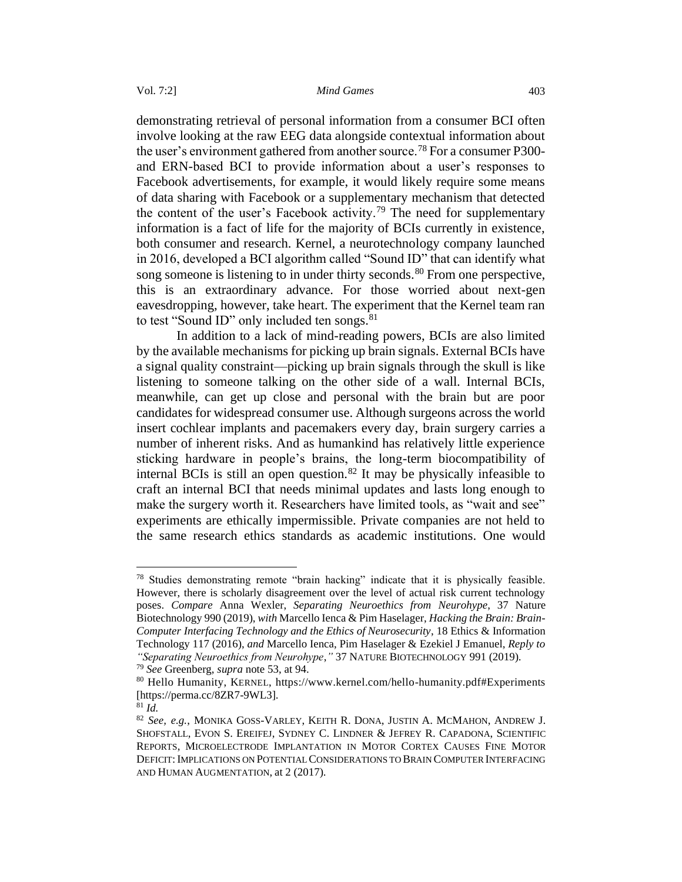demonstrating retrieval of personal information from a consumer BCI often involve looking at the raw EEG data alongside contextual information about the user's environment gathered from another source.<sup>78</sup> For a consumer P300and ERN-based BCI to provide information about a user's responses to Facebook advertisements, for example, it would likely require some means of data sharing with Facebook or a supplementary mechanism that detected the content of the user's Facebook activity.<sup>79</sup> The need for supplementary information is a fact of life for the majority of BCIs currently in existence, both consumer and research. Kernel, a neurotechnology company launched in 2016, developed a BCI algorithm called "Sound ID" that can identify what song someone is listening to in under thirty seconds.<sup>80</sup> From one perspective, this is an extraordinary advance. For those worried about next-gen eavesdropping, however, take heart. The experiment that the Kernel team ran to test "Sound ID" only included ten songs.<sup>81</sup>

In addition to a lack of mind-reading powers, BCIs are also limited by the available mechanisms for picking up brain signals. External BCIs have a signal quality constraint—picking up brain signals through the skull is like listening to someone talking on the other side of a wall. Internal BCIs, meanwhile, can get up close and personal with the brain but are poor candidates for widespread consumer use. Although surgeons across the world insert cochlear implants and pacemakers every day, brain surgery carries a number of inherent risks. And as humankind has relatively little experience sticking hardware in people's brains, the long-term biocompatibility of internal BCIs is still an open question.<sup>82</sup> It may be physically infeasible to craft an internal BCI that needs minimal updates and lasts long enough to make the surgery worth it. Researchers have limited tools, as "wait and see" experiments are ethically impermissible. Private companies are not held to the same research ethics standards as academic institutions. One would

<sup>78</sup> Studies demonstrating remote "brain hacking" indicate that it is physically feasible. However, there is scholarly disagreement over the level of actual risk current technology poses. *Compare* Anna Wexler, *Separating Neuroethics from Neurohype*, 37 Nature Biotechnology 990 (2019), *with* Marcello Ienca & Pim Haselager, *Hacking the Brain: Brain-Computer Interfacing Technology and the Ethics of Neurosecurity*, 18 Ethics & Information Technology 117 (2016), *and* Marcello Ienca, Pim Haselager & Ezekiel J Emanuel, *Reply to "Separating Neuroethics from Neurohype*,*"* 37 NATURE BIOTECHNOLOGY 991 (2019).

<sup>79</sup> *See* Greenberg, *supra* note 53, at 94.

<sup>80</sup> Hello Humanity, KERNEL, https://www.kernel.com/hello-humanity.pdf#Experiments [https://perma.cc/8ZR7-9WL3].

 $81 \overline{Id}$ .

<sup>82</sup> *See, e.g.*, MONIKA GOSS-VARLEY, KEITH R. DONA, JUSTIN A. MCMAHON, ANDREW J. SHOFSTALL, EVON S. EREIFEJ, SYDNEY C. LINDNER & JEFREY R. CAPADONA, SCIENTIFIC REPORTS, MICROELECTRODE IMPLANTATION IN MOTOR CORTEX CAUSES FINE MOTOR DEFICIT: IMPLICATIONS ON POTENTIAL CONSIDERATIONS TO BRAIN COMPUTER INTERFACING AND HUMAN AUGMENTATION, at 2 (2017).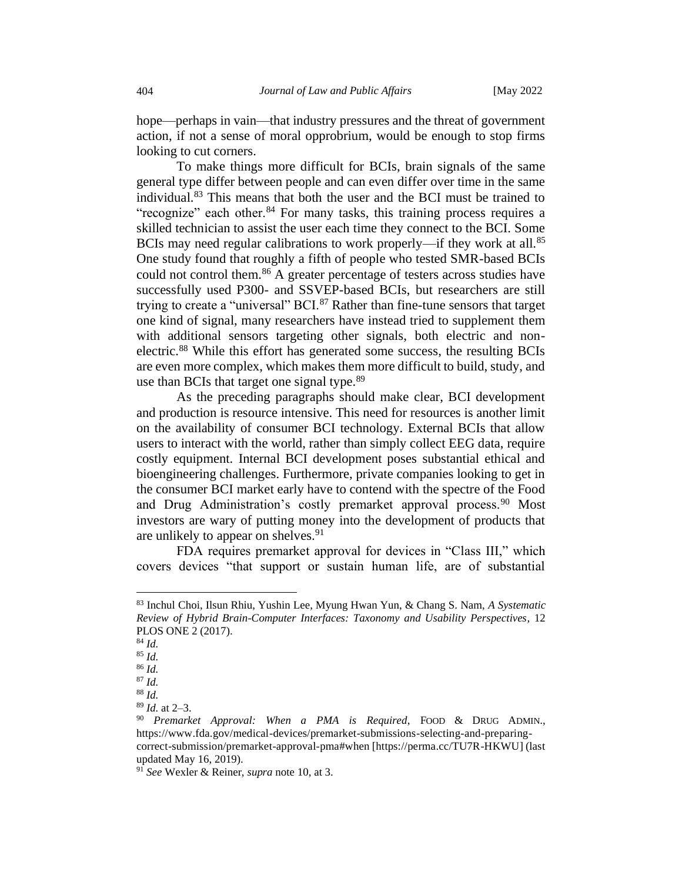hope—perhaps in vain—that industry pressures and the threat of government action, if not a sense of moral opprobrium, would be enough to stop firms looking to cut corners.

To make things more difficult for BCIs, brain signals of the same general type differ between people and can even differ over time in the same individual.<sup>83</sup> This means that both the user and the BCI must be trained to "recognize" each other.<sup>84</sup> For many tasks, this training process requires a skilled technician to assist the user each time they connect to the BCI. Some BCIs may need regular calibrations to work properly—if they work at all.<sup>85</sup> One study found that roughly a fifth of people who tested SMR-based BCIs could not control them.<sup>86</sup> A greater percentage of testers across studies have successfully used P300- and SSVEP-based BCIs, but researchers are still trying to create a "universal"  $BCI<sup>87</sup>$  Rather than fine-tune sensors that target one kind of signal, many researchers have instead tried to supplement them with additional sensors targeting other signals, both electric and nonelectric.<sup>88</sup> While this effort has generated some success, the resulting BCIs are even more complex, which makes them more difficult to build, study, and use than BCIs that target one signal type.<sup>89</sup>

As the preceding paragraphs should make clear, BCI development and production is resource intensive. This need for resources is another limit on the availability of consumer BCI technology. External BCIs that allow users to interact with the world, rather than simply collect EEG data, require costly equipment. Internal BCI development poses substantial ethical and bioengineering challenges. Furthermore, private companies looking to get in the consumer BCI market early have to contend with the spectre of the Food and Drug Administration's costly premarket approval process.<sup>90</sup> Most investors are wary of putting money into the development of products that are unlikely to appear on shelves.<sup>91</sup>

FDA requires premarket approval for devices in "Class III," which covers devices "that support or sustain human life, are of substantial

<sup>89</sup> *Id.* at 2–3.

<sup>91</sup> *See* Wexler & Reiner, *supra* note 10, at 3.

<sup>83</sup> Inchul Choi, Ilsun Rhiu, Yushin Lee, Myung Hwan Yun, & Chang S. Nam, *A Systematic Review of Hybrid Brain-Computer Interfaces: Taxonomy and Usability Perspectives*, 12 PLOS ONE 2 (2017).

<sup>84</sup> *Id.* 

<sup>85</sup> *Id.* 

<sup>86</sup> *Id.* 

 $87$  *Id.* 

<sup>88</sup> *Id.* 

<sup>90</sup> *Premarket Approval: When a PMA is Required*, FOOD & DRUG ADMIN., https://www.fda.gov/medical-devices/premarket-submissions-selecting-and-preparingcorrect-submission/premarket-approval-pma#when [https://perma.cc/TU7R-HKWU] (last updated May 16, 2019).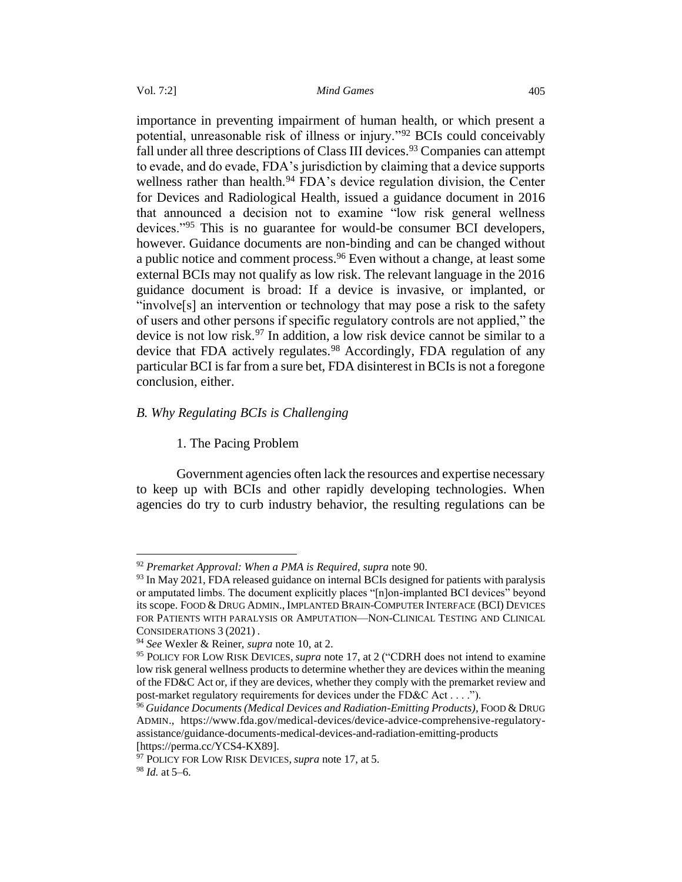importance in preventing impairment of human health, or which present a potential, unreasonable risk of illness or injury."<sup>92</sup> BCIs could conceivably fall under all three descriptions of Class III devices.<sup>93</sup> Companies can attempt to evade, and do evade, FDA's jurisdiction by claiming that a device supports wellness rather than health.<sup>94</sup> FDA's device regulation division, the Center for Devices and Radiological Health, issued a guidance document in 2016 that announced a decision not to examine "low risk general wellness devices."<sup>95</sup> This is no guarantee for would-be consumer BCI developers, however. Guidance documents are non-binding and can be changed without a public notice and comment process.<sup>96</sup> Even without a change, at least some external BCIs may not qualify as low risk. The relevant language in the 2016 guidance document is broad: If a device is invasive, or implanted, or "involve[s] an intervention or technology that may pose a risk to the safety of users and other persons if specific regulatory controls are not applied," the device is not low risk.<sup>97</sup> In addition, a low risk device cannot be similar to a device that FDA actively regulates.<sup>98</sup> Accordingly, FDA regulation of any particular BCI is far from a sure bet, FDA disinterest in BCIs is not a foregone conclusion, either.

# <span id="page-14-1"></span><span id="page-14-0"></span>*B. Why Regulating BCIs is Challenging*

# 1. The Pacing Problem

Government agencies often lack the resources and expertise necessary to keep up with BCIs and other rapidly developing technologies. When agencies do try to curb industry behavior, the resulting regulations can be

<sup>92</sup> *Premarket Approval: When a PMA is Required*, *supra* note 90.

<sup>&</sup>lt;sup>93</sup> In May 2021, FDA released guidance on internal BCIs designed for patients with paralysis or amputated limbs. The document explicitly places "[n]on-implanted BCI devices" beyond its scope. FOOD & DRUG ADMIN., IMPLANTED BRAIN-COMPUTER INTERFACE (BCI) DEVICES FOR PATIENTS WITH PARALYSIS OR AMPUTATION—NON-CLINICAL TESTING AND CLINICAL CONSIDERATIONS 3 (2021) .

<sup>94</sup> *See* Wexler & Reiner, *supra* note 10, at 2.

<sup>95</sup> POLICY FOR LOW RISK DEVICES, *supra* note 17, at 2 ("CDRH does not intend to examine low risk general wellness products to determine whether they are devices within the meaning of the FD&C Act or, if they are devices, whether they comply with the premarket review and post-market regulatory requirements for devices under the FD&C Act . . . .").

<sup>96</sup> *Guidance Documents (Medical Devices and Radiation-Emitting Products)*, FOOD & DRUG ADMIN., https://www.fda.gov/medical-devices/device-advice-comprehensive-regulatoryassistance/guidance-documents-medical-devices-and-radiation-emitting-products [https://perma.cc/YCS4-KX89].

<sup>97</sup> POLICY FOR LOW RISK DEVICES, *supra* note 17, at 5.

<sup>98</sup> *Id.* at 5–6.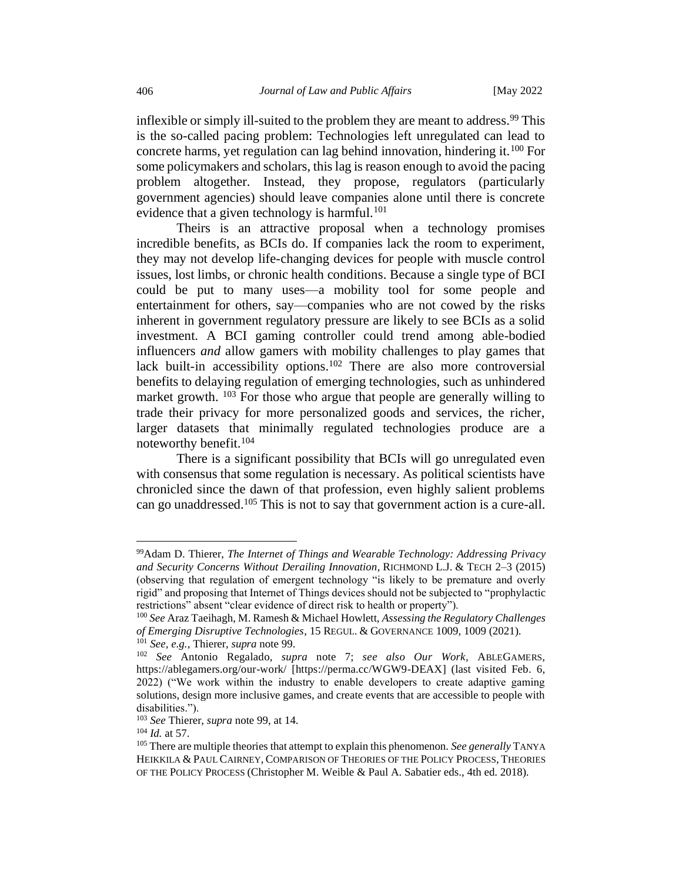inflexible or simply ill-suited to the problem they are meant to address.<sup>99</sup> This is the so-called pacing problem: Technologies left unregulated can lead to concrete harms, yet regulation can lag behind innovation, hindering it.<sup>100</sup> For some policymakers and scholars, this lag is reason enough to avoid the pacing problem altogether. Instead, they propose, regulators (particularly government agencies) should leave companies alone until there is concrete evidence that a given technology is harmful.<sup>101</sup>

Theirs is an attractive proposal when a technology promises incredible benefits, as BCIs do. If companies lack the room to experiment, they may not develop life-changing devices for people with muscle control issues, lost limbs, or chronic health conditions. Because a single type of BCI could be put to many uses—a mobility tool for some people and entertainment for others, say—companies who are not cowed by the risks inherent in government regulatory pressure are likely to see BCIs as a solid investment. A BCI gaming controller could trend among able-bodied influencers *and* allow gamers with mobility challenges to play games that lack built-in accessibility options.<sup>102</sup> There are also more controversial benefits to delaying regulation of emerging technologies, such as unhindered market growth. <sup>103</sup> For those who argue that people are generally willing to trade their privacy for more personalized goods and services, the richer, larger datasets that minimally regulated technologies produce are a noteworthy benefit.<sup>104</sup>

There is a significant possibility that BCIs will go unregulated even with consensus that some regulation is necessary. As political scientists have chronicled since the dawn of that profession, even highly salient problems can go unaddressed.<sup>105</sup> This is not to say that government action is a cure-all.

<sup>99</sup>Adam D. Thierer, *The Internet of Things and Wearable Technology: Addressing Privacy and Security Concerns Without Derailing Innovation*, RICHMOND L.J. & TECH 2–3 (2015) (observing that regulation of emergent technology "is likely to be premature and overly rigid" and proposing that Internet of Things devices should not be subjected to "prophylactic restrictions" absent "clear evidence of direct risk to health or property").

<sup>100</sup> *See* Araz Taeihagh, M. Ramesh & Michael Howlett, *Assessing the Regulatory Challenges of Emerging Disruptive Technologies*, 15 REGUL. & GOVERNANCE 1009, 1009 (2021). <sup>101</sup> *See, e.g.*, Thierer, *supra* note 99.

<sup>102</sup> *See* Antonio Regalado, *supra* note 7; *see also Our Work,* ABLEGAMERS, <https://ablegamers.org/our-work/> [https://perma.cc/WGW9-DEAX] (last visited Feb. 6, 2022) ("We work within the industry to enable developers to create adaptive gaming solutions, design more inclusive games, and create events that are accessible to people with disabilities.").

<sup>103</sup> *See* Thierer, *supra* note 99, at 14.

<sup>104</sup> *Id.* at 57.

<sup>105</sup> There are multiple theories that attempt to explain this phenomenon. *See generally* TANYA HEIKKILA & PAUL CAIRNEY, COMPARISON OF THEORIES OF THE POLICY PROCESS, THEORIES OF THE POLICY PROCESS (Christopher M. Weible & Paul A. Sabatier eds., 4th ed. 2018).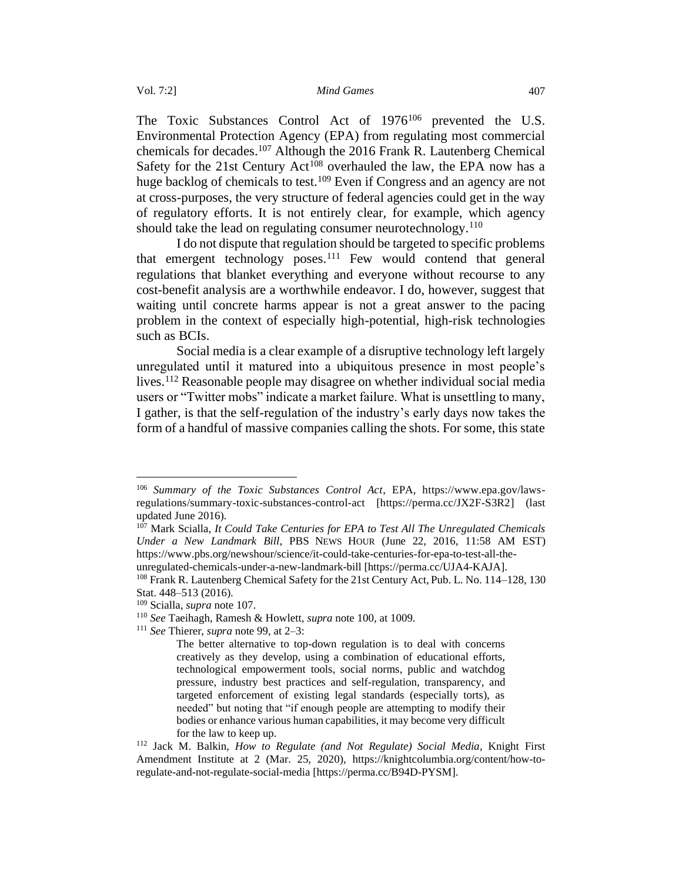The Toxic Substances Control Act of 1976<sup>106</sup> prevented the U.S. Environmental Protection Agency (EPA) from regulating most commercial chemicals for decades.<sup>107</sup> Although the 2016 Frank R. Lautenberg Chemical Safety for the 21st Century Act<sup>108</sup> overhauled the law, the EPA now has a huge backlog of chemicals to test.<sup>109</sup> Even if Congress and an agency are not at cross-purposes, the very structure of federal agencies could get in the way of regulatory efforts. It is not entirely clear, for example, which agency should take the lead on regulating consumer neurotechnology.<sup>110</sup>

I do not dispute that regulation should be targeted to specific problems that emergent technology poses.<sup>111</sup> Few would contend that general regulations that blanket everything and everyone without recourse to any cost-benefit analysis are a worthwhile endeavor. I do, however, suggest that waiting until concrete harms appear is not a great answer to the pacing problem in the context of especially high-potential, high-risk technologies such as BCIs.

Social media is a clear example of a disruptive technology left largely unregulated until it matured into a ubiquitous presence in most people's lives.<sup>112</sup> Reasonable people may disagree on whether individual social media users or "Twitter mobs" indicate a market failure. What is unsettling to many, I gather, is that the self-regulation of the industry's early days now takes the form of a handful of massive companies calling the shots. For some, this state

<sup>106</sup> *Summary of the Toxic Substances Control Act*, EPA, https://www.epa.gov/lawsregulations/summary-toxic-substances-control-act [\[https://perma.cc/JX2F-S3R2\]](https://perma.cc/JX2F-S3R2) (last updated June 2016).

<sup>107</sup> Mark Scialla, *It Could Take Centuries for EPA to Test All The Unregulated Chemicals Under a New Landmark Bill*, PBS NEWS HOUR (June 22, 2016, 11:58 AM EST) https://www.pbs.org/newshour/science/it-could-take-centuries-for-epa-to-test-all-theunregulated-chemicals-under-a-new-landmark-bill [\[https://perma.cc/UJA4-KAJA\]](https://perma.cc/UJA4-KAJA).

<sup>108</sup> Frank R. Lautenberg Chemical Safety for the 21st Century Act, Pub. L. No. 114–128, 130 Stat. 448–513 (2016).

<sup>109</sup> Scialla, *supra* note 107.

<sup>110</sup> *See* Taeihagh, Ramesh & Howlett, *supra* note 100, at 1009.

<sup>111</sup> *See* Thierer, *supra* note 99, at 2–3:

The better alternative to top-down regulation is to deal with concerns creatively as they develop, using a combination of educational efforts, technological empowerment tools, social norms, public and watchdog pressure, industry best practices and self-regulation, transparency, and targeted enforcement of existing legal standards (especially torts), as needed" but noting that "if enough people are attempting to modify their bodies or enhance various human capabilities, it may become very difficult for the law to keep up.

<sup>112</sup> Jack M. Balkin, *How to Regulate (and Not Regulate) Social Media*, Knight First Amendment Institute at 2 (Mar. 25, 2020), [https://knightcolumbia.org/content/how-to](https://knightcolumbia.org/content/how-to-regulate-and-not-regulate-social-media)[regulate-and-not-regulate-social-media](https://knightcolumbia.org/content/how-to-regulate-and-not-regulate-social-media) [https://perma.cc/B94D-PYSM].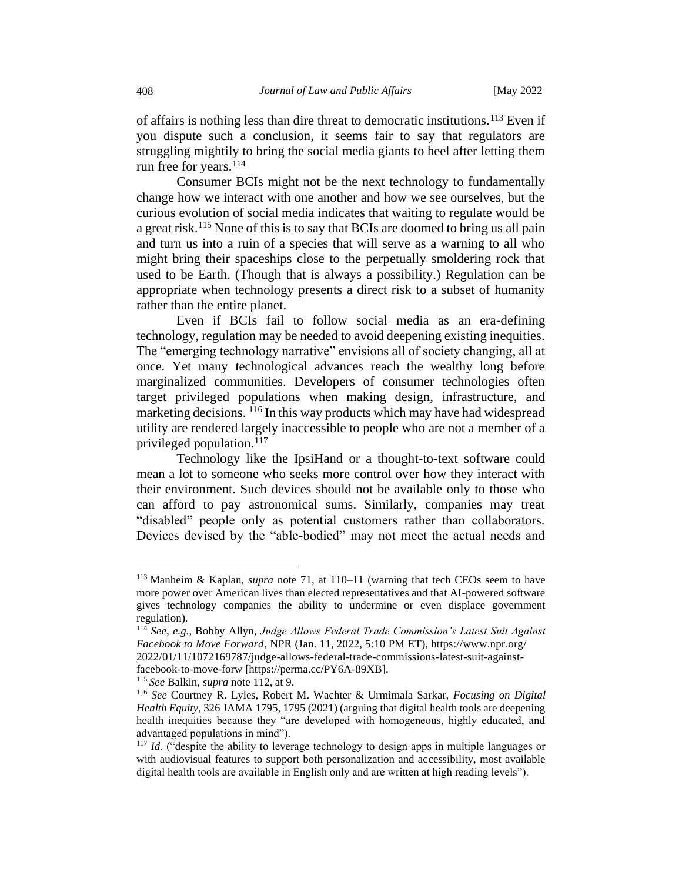of affairs is nothing less than dire threat to democratic institutions.<sup>113</sup> Even if you dispute such a conclusion, it seems fair to say that regulators are struggling mightily to bring the social media giants to heel after letting them run free for years.<sup>114</sup>

Consumer BCIs might not be the next technology to fundamentally change how we interact with one another and how we see ourselves, but the curious evolution of social media indicates that waiting to regulate would be a great risk.<sup>115</sup> None of this is to say that BCIs are doomed to bring us all pain and turn us into a ruin of a species that will serve as a warning to all who might bring their spaceships close to the perpetually smoldering rock that used to be Earth. (Though that is always a possibility.) Regulation can be appropriate when technology presents a direct risk to a subset of humanity rather than the entire planet.

Even if BCIs fail to follow social media as an era-defining technology, regulation may be needed to avoid deepening existing inequities. The "emerging technology narrative" envisions all of society changing, all at once. Yet many technological advances reach the wealthy long before marginalized communities. Developers of consumer technologies often target privileged populations when making design, infrastructure, and marketing decisions. <sup>116</sup> In this way products which may have had widespread utility are rendered largely inaccessible to people who are not a member of a privileged population.<sup>117</sup>

Technology like the IpsiHand or a thought-to-text software could mean a lot to someone who seeks more control over how they interact with their environment. Such devices should not be available only to those who can afford to pay astronomical sums. Similarly, companies may treat "disabled" people only as potential customers rather than collaborators. Devices devised by the "able-bodied" may not meet the actual needs and

<sup>113</sup> Manheim & Kaplan, *supra* note 71, at 110–11 (warning that tech CEOs seem to have more power over American lives than elected representatives and that AI-powered software gives technology companies the ability to undermine or even displace government regulation).

<sup>114</sup> *See, e.g.*, Bobby Allyn, *Judge Allows Federal Trade Commission's Latest Suit Against Facebook to Move Forward*, NPR (Jan. 11, 2022, 5:10 PM ET), https://www.npr.org/ 2022/01/11/1072169787/judge-allows-federal-trade-commissions-latest-suit-againstfacebook-to-move-forw [https://perma.cc/PY6A-89XB].

<sup>115</sup> *See* Balkin, *supra* note 112, at 9.

<sup>116</sup> *See* Courtney R. Lyles, Robert M. Wachter & Urmimala Sarkar, *Focusing on Digital Health Equity*, 326 JAMA 1795, 1795 (2021) (arguing that digital health tools are deepening health inequities because they "are developed with homogeneous, highly educated, and advantaged populations in mind").

<sup>&</sup>lt;sup>117</sup> *Id.* ("despite the ability to leverage technology to design apps in multiple languages or with audiovisual features to support both personalization and accessibility, most available digital health tools are available in English only and are written at high reading levels").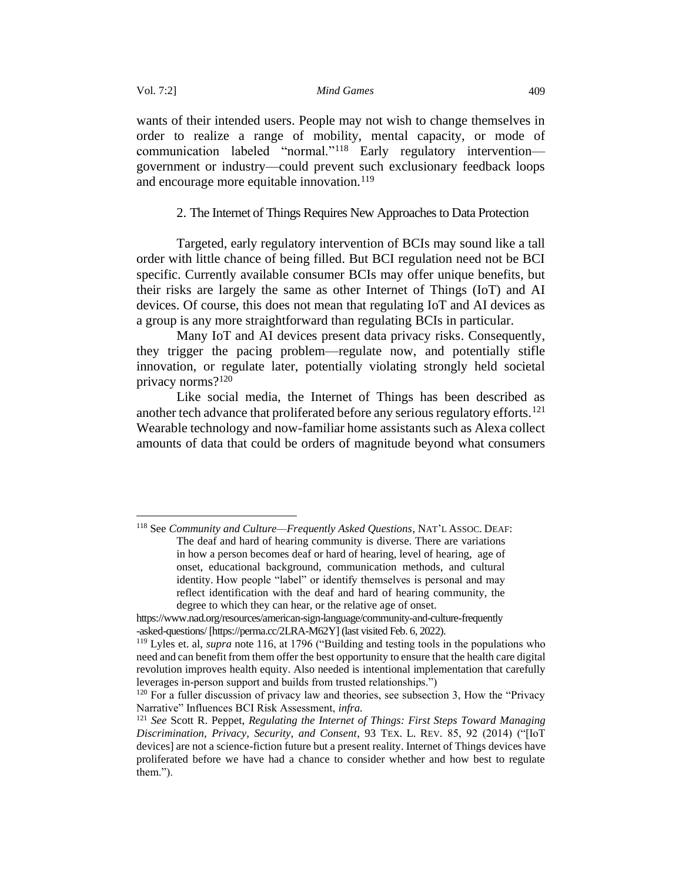wants of their intended users. People may not wish to change themselves in order to realize a range of mobility, mental capacity, or mode of communication labeled "normal."<sup>118</sup> Early regulatory intervention government or industry—could prevent such exclusionary feedback loops and encourage more equitable innovation.<sup>119</sup>

<span id="page-18-1"></span>2. The Internet of Things Requires New Approaches to Data Protection

<span id="page-18-0"></span>Targeted, early regulatory intervention of BCIs may sound like a tall order with little chance of being filled. But BCI regulation need not be BCI specific. Currently available consumer BCIs may offer unique benefits, but their risks are largely the same as other Internet of Things (IoT) and AI devices. Of course, this does not mean that regulating IoT and AI devices as a group is any more straightforward than regulating BCIs in particular.

Many IoT and AI devices present data privacy risks. Consequently, they trigger the pacing problem—regulate now, and potentially stifle innovation, or regulate later, potentially violating strongly held societal privacy norms?<sup>120</sup>

Like social media, the Internet of Things has been described as another tech advance that proliferated before any serious regulatory efforts.<sup>121</sup> Wearable technology and now-familiar home assistants such as Alexa collect amounts of data that could be orders of magnitude beyond what consumers

<sup>118</sup> See *Community and Culture—Frequently Asked Questions*, NAT'L ASSOC. DEAF: The deaf and hard of hearing community is diverse. There are variations in how a person becomes deaf or hard of hearing, level of hearing, age of onset, educational background, communication methods, and cultural identity. How people "label" or identify themselves is personal and may reflect identification with the deaf and hard of hearing community, the degree to which they can hear, or the relative age of onset.

https://www.nad.org/resources/american-sign-language/community-and-culture-frequently -asked-questions/ [https://perma.cc/2LRA-M62Y] (last visited Feb. 6, 2022).

<sup>119</sup> Lyles et. al, *supra* note 116, at 1796 ("Building and testing tools in the populations who need and can benefit from them offer the best opportunity to ensure that the health care digital revolution improves health equity. Also needed is intentional implementation that carefully leverages in-person support and builds from trusted relationships.")

<sup>120</sup> For a fuller discussion of privacy law and theories, see subsection 3, How the "Privacy Narrative" Influences BCI Risk Assessment, *infra.* 

<sup>121</sup> *See* Scott R. Peppet, *Regulating the Internet of Things: First Steps Toward Managing Discrimination, Privacy, Security, and Consent*, 93 TEX. L. REV. 85, 92 (2014) ("[IoT devices] are not a science-fiction future but a present reality. Internet of Things devices have proliferated before we have had a chance to consider whether and how best to regulate them.").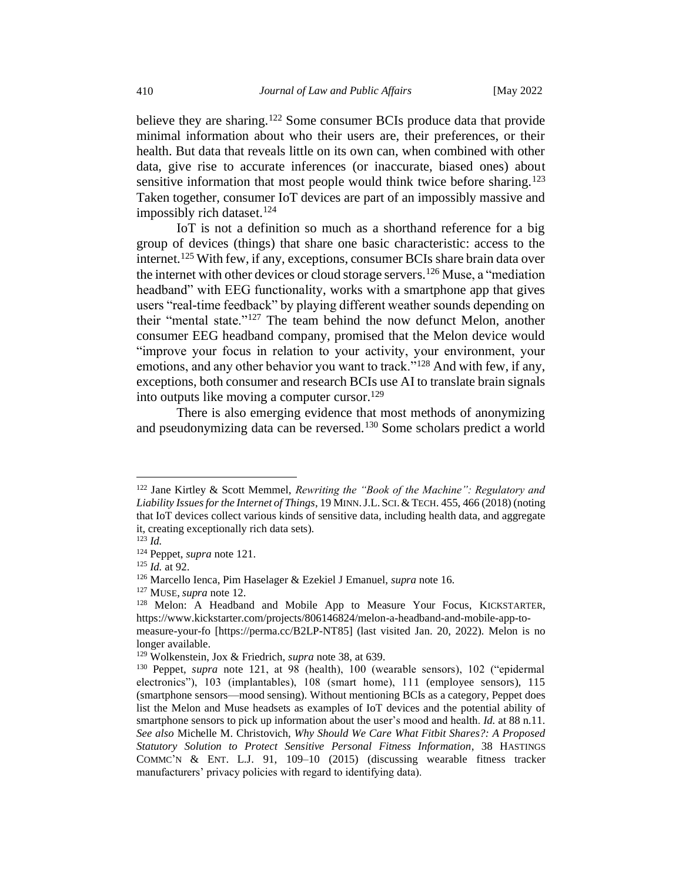believe they are sharing.<sup>122</sup> Some consumer BCIs produce data that provide minimal information about who their users are, their preferences, or their health. But data that reveals little on its own can, when combined with other data, give rise to accurate inferences (or inaccurate, biased ones) about sensitive information that most people would think twice before sharing.<sup>123</sup> Taken together, consumer IoT devices are part of an impossibly massive and impossibly rich dataset.<sup>124</sup>

IoT is not a definition so much as a shorthand reference for a big group of devices (things) that share one basic characteristic: access to the internet.<sup>125</sup> With few, if any, exceptions, consumer BCIs share brain data over the internet with other devices or cloud storage servers.<sup>126</sup> Muse, a "mediation" headband" with EEG functionality, works with a smartphone app that gives users "real-time feedback" by playing different weather sounds depending on their "mental state."<sup>127</sup> The team behind the now defunct Melon, another consumer EEG headband company, promised that the Melon device would "improve your focus in relation to your activity, your environment, your emotions, and any other behavior you want to track."<sup>128</sup> And with few, if any, exceptions, both consumer and research BCIs use AI to translate brain signals into outputs like moving a computer cursor.<sup>129</sup>

There is also emerging evidence that most methods of anonymizing and pseudonymizing data can be reversed.<sup>130</sup> Some scholars predict a world

<sup>122</sup> Jane Kirtley & Scott Memmel, *Rewriting the "Book of the Machine": Regulatory and Liability Issues for the Internet of Things*, 19 MINN.J.L.SCI.&TECH. 455, 466 (2018) (noting that IoT devices collect various kinds of sensitive data, including health data, and aggregate it, creating exceptionally rich data sets).

 $123$  *Id.* 

<sup>124</sup> Peppet, *supra* note 121.

<sup>125</sup> *Id.* at 92.

<sup>126</sup> Marcello Ienca, Pim Haselager & Ezekiel J Emanuel, *supra* note 16.

<sup>127</sup> MUSE, *supra* note 12.

<sup>128</sup> Melon: A Headband and Mobile App to Measure Your Focus, KICKSTARTER, https://www.kickstarter.com/projects/806146824/melon-a-headband-and-mobile-app-to-

measure-your-fo [https://perma.cc/B2LP-NT85] (last visited Jan. 20, 2022). Melon is no longer available.

<sup>129</sup> Wolkenstein, Jox & Friedrich, *supra* note 38, at 639.

<sup>130</sup> Peppet, *supra* note 121, at 98 (health), 100 (wearable sensors), 102 ("epidermal electronics"), 103 (implantables), 108 (smart home), 111 (employee sensors), 115 (smartphone sensors—mood sensing). Without mentioning BCIs as a category, Peppet does list the Melon and Muse headsets as examples of IoT devices and the potential ability of smartphone sensors to pick up information about the user's mood and health. *Id.* at 88 n.11. *See also* Michelle M. Christovich, *Why Should We Care What Fitbit Shares?: A Proposed Statutory Solution to Protect Sensitive Personal Fitness Information*, 38 HASTINGS COMMC'N & ENT. L.J. 91, 109–10 (2015) (discussing wearable fitness tracker manufacturers' privacy policies with regard to identifying data).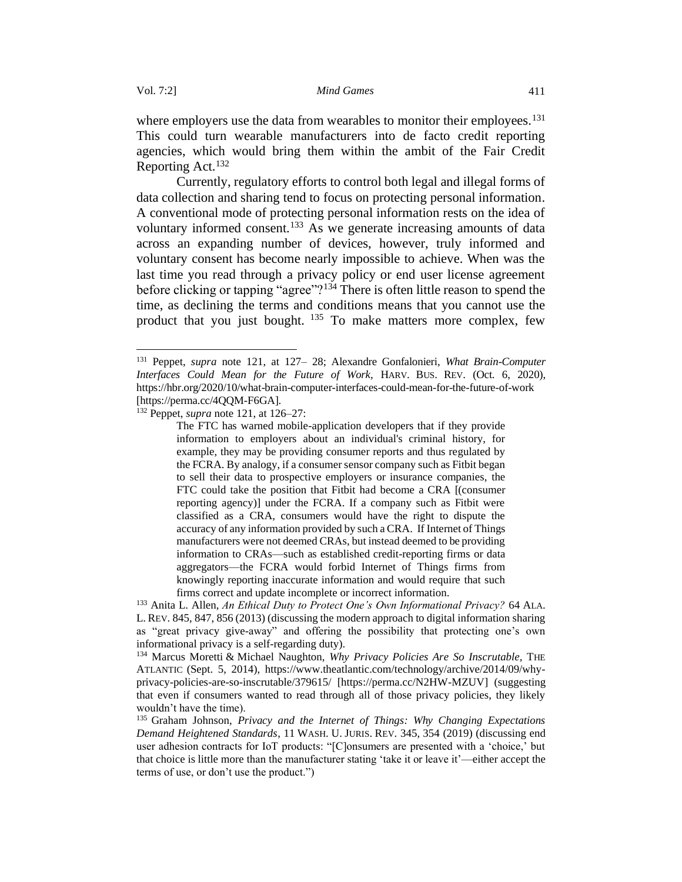where employers use the data from wearables to monitor their employees.<sup>131</sup> This could turn wearable manufacturers into de facto credit reporting agencies, which would bring them within the ambit of the Fair Credit Reporting Act.<sup>132</sup>

Currently, regulatory efforts to control both legal and illegal forms of data collection and sharing tend to focus on protecting personal information. A conventional mode of protecting personal information rests on the idea of voluntary informed consent.<sup>133</sup> As we generate increasing amounts of data across an expanding number of devices, however, truly informed and voluntary consent has become nearly impossible to achieve. When was the last time you read through a privacy policy or end user license agreement before clicking or tapping "agree"?<sup>134</sup> There is often little reason to spend the time, as declining the terms and conditions means that you cannot use the product that you just bought.  $135$  To make matters more complex, few

<sup>131</sup> Peppet, *supra* note 121, at 127– 28; Alexandre Gonfalonieri, *What Brain-Computer Interfaces Could Mean for the Future of Work,* HARV. BUS. REV. (Oct. 6, 2020), <https://hbr.org/2020/10/what-brain-computer-interfaces-could-mean-for-the-future-of-work> [https://perma.cc/4QQM-F6GA].

<sup>132</sup> Peppet, *supra* note 121, at 126–27:

The FTC has warned mobile-application developers that if they provide information to employers about an individual's criminal history, for example, they may be providing consumer reports and thus regulated by the FCRA. By analogy, if a consumer sensor company such as Fitbit began to sell their data to prospective employers or insurance companies, the FTC could take the position that Fitbit had become a CRA [(consumer reporting agency)] under the FCRA. If a company such as Fitbit were classified as a CRA, consumers would have the right to dispute the accuracy of any information provided by such a CRA. If Internet of Things manufacturers were not deemed CRAs, but instead deemed to be providing information to CRAs—such as established credit-reporting firms or data aggregators—the FCRA would forbid Internet of Things firms from knowingly reporting inaccurate information and would require that such firms correct and update incomplete or incorrect information.

<sup>133</sup> Anita L. Allen, *An Ethical Duty to Protect One's Own Informational Privacy?* 64 ALA. L. REV. 845, 847, 856 (2013) (discussing the modern approach to digital information sharing as "great privacy give-away" and offering the possibility that protecting one's own informational privacy is a self-regarding duty).

<sup>134</sup> Marcus Moretti & Michael Naughton, *Why Privacy Policies Are So Inscrutable,* THE ATLANTIC (Sept. 5, 2014), https://www.theatlantic.com/technology/archive/2014/09/whyprivacy-policies-are-so-inscrutable/379615/ [https://perma.cc/N2HW-MZUV] (suggesting that even if consumers wanted to read through all of those privacy policies, they likely wouldn't have the time).

<sup>135</sup> Graham Johnson, *Privacy and the Internet of Things: Why Changing Expectations Demand Heightened Standards*, 11 WASH. U. JURIS. REV. 345, 354 (2019) (discussing end user adhesion contracts for IoT products: "[C]onsumers are presented with a 'choice,' but that choice is little more than the manufacturer stating 'take it or leave it'—either accept the terms of use, or don't use the product.")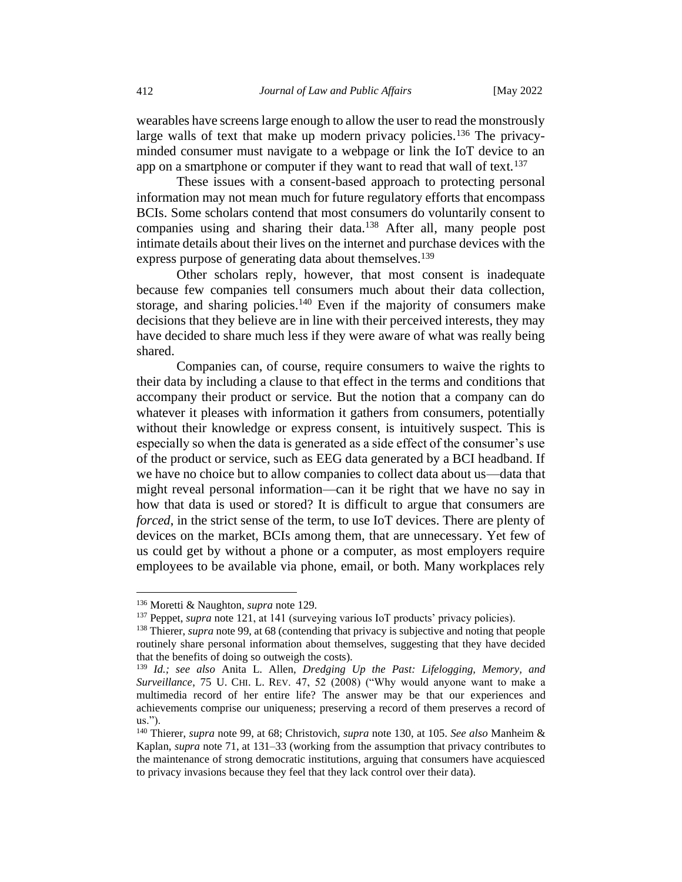wearables have screens large enough to allow the user to read the monstrously large walls of text that make up modern privacy policies.<sup>136</sup> The privacyminded consumer must navigate to a webpage or link the IoT device to an app on a smartphone or computer if they want to read that wall of text.<sup>137</sup>

These issues with a consent-based approach to protecting personal information may not mean much for future regulatory efforts that encompass BCIs. Some scholars contend that most consumers do voluntarily consent to companies using and sharing their data.<sup>138</sup> After all, many people post intimate details about their lives on the internet and purchase devices with the express purpose of generating data about themselves.<sup>139</sup>

Other scholars reply, however, that most consent is inadequate because few companies tell consumers much about their data collection, storage, and sharing policies.<sup>140</sup> Even if the majority of consumers make decisions that they believe are in line with their perceived interests, they may have decided to share much less if they were aware of what was really being shared.

Companies can, of course, require consumers to waive the rights to their data by including a clause to that effect in the terms and conditions that accompany their product or service. But the notion that a company can do whatever it pleases with information it gathers from consumers, potentially without their knowledge or express consent, is intuitively suspect. This is especially so when the data is generated as a side effect of the consumer's use of the product or service, such as EEG data generated by a BCI headband. If we have no choice but to allow companies to collect data about us—data that might reveal personal information—can it be right that we have no say in how that data is used or stored? It is difficult to argue that consumers are *forced*, in the strict sense of the term, to use IoT devices. There are plenty of devices on the market, BCIs among them, that are unnecessary. Yet few of us could get by without a phone or a computer, as most employers require employees to be available via phone, email, or both. Many workplaces rely

<sup>136</sup> Moretti & Naughton, *supra* note 129.

<sup>&</sup>lt;sup>137</sup> Peppet, *supra* note 121, at 141 (surveying various IoT products' privacy policies).

<sup>&</sup>lt;sup>138</sup> Thierer, *supra* note 99, at 68 (contending that privacy is subjective and noting that people routinely share personal information about themselves, suggesting that they have decided that the benefits of doing so outweigh the costs).

<sup>139</sup> *Id.; see also* Anita L. Allen, *Dredging Up the Past: Lifelogging, Memory, and Surveillance*, 75 U. CHI. L. REV. 47, 52 (2008) ("Why would anyone want to make a multimedia record of her entire life? The answer may be that our experiences and achievements comprise our uniqueness; preserving a record of them preserves a record of us.").

<sup>140</sup> Thierer, *supra* note 99, at 68; Christovich, *supra* note 130, at 105. *See also* Manheim & Kaplan, *supra* note 71, at 131–33 (working from the assumption that privacy contributes to the maintenance of strong democratic institutions, arguing that consumers have acquiesced to privacy invasions because they feel that they lack control over their data).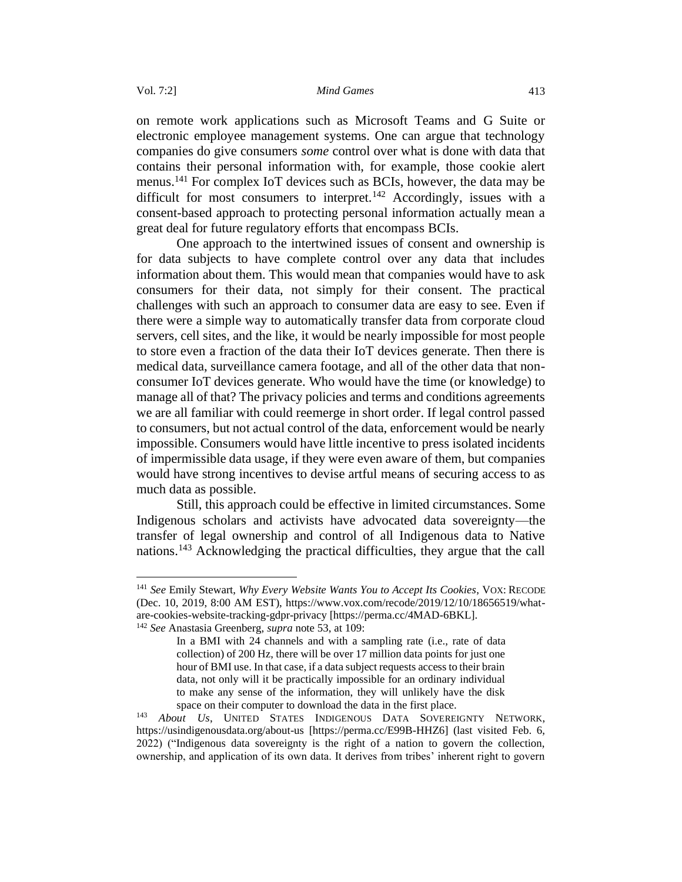on remote work applications such as Microsoft Teams and G Suite or electronic employee management systems. One can argue that technology companies do give consumers *some* control over what is done with data that contains their personal information with, for example, those cookie alert menus.<sup>141</sup> For complex IoT devices such as BCIs, however, the data may be difficult for most consumers to interpret.<sup>142</sup> Accordingly, issues with a consent-based approach to protecting personal information actually mean a great deal for future regulatory efforts that encompass BCIs.

One approach to the intertwined issues of consent and ownership is for data subjects to have complete control over any data that includes information about them. This would mean that companies would have to ask consumers for their data, not simply for their consent. The practical challenges with such an approach to consumer data are easy to see. Even if there were a simple way to automatically transfer data from corporate cloud servers, cell sites, and the like, it would be nearly impossible for most people to store even a fraction of the data their IoT devices generate. Then there is medical data, surveillance camera footage, and all of the other data that nonconsumer IoT devices generate. Who would have the time (or knowledge) to manage all of that? The privacy policies and terms and conditions agreements we are all familiar with could reemerge in short order. If legal control passed to consumers, but not actual control of the data, enforcement would be nearly impossible. Consumers would have little incentive to press isolated incidents of impermissible data usage, if they were even aware of them, but companies would have strong incentives to devise artful means of securing access to as much data as possible.

Still, this approach could be effective in limited circumstances. Some Indigenous scholars and activists have advocated data sovereignty—the transfer of legal ownership and control of all Indigenous data to Native nations.<sup>143</sup> Acknowledging the practical difficulties, they argue that the call

<sup>141</sup> *See* Emily Stewart, *Why Every Website Wants You to Accept Its Cookies*, VOX: RECODE (Dec. 10, 2019, 8:00 AM EST), https://www.vox.com/recode/2019/12/10/18656519/whatare-cookies-website-tracking-gdpr-privacy [https://perma.cc/4MAD-6BKL].

<sup>142</sup> *See* Anastasia Greenberg, *supra* note 53, at 109:

In a BMI with 24 channels and with a sampling rate (i.e., rate of data collection) of 200 Hz, there will be over 17 million data points for just one hour of BMI use. In that case, if a data subject requests access to their brain data, not only will it be practically impossible for an ordinary individual to make any sense of the information, they will unlikely have the disk space on their computer to download the data in the first place.

<sup>143</sup> *About Us*, UNITED STATES INDIGENOUS DATA SOVEREIGNTY NETWORK, https://usindigenousdata.org/about-us [https://perma.cc/E99B-HHZ6] (last visited Feb. 6, 2022) ("Indigenous data sovereignty is the right of a nation to govern the collection, ownership, and application of its own data. It derives from tribes' inherent right to govern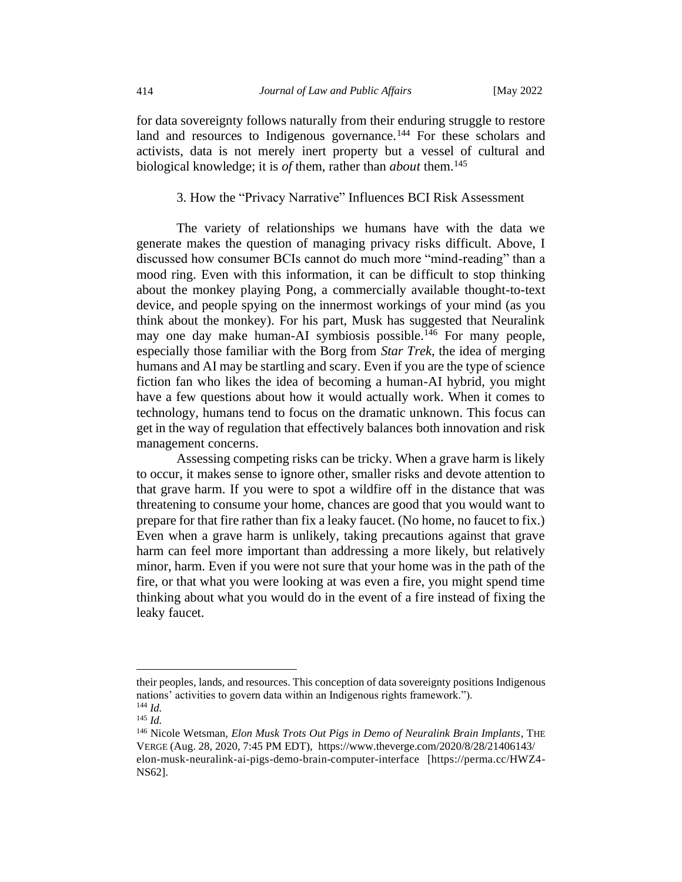for data sovereignty follows naturally from their enduring struggle to restore land and resources to Indigenous governance.<sup>144</sup> For these scholars and activists, data is not merely inert property but a vessel of cultural and biological knowledge; it is *of* them, rather than *about* them.<sup>145</sup>

### 3. How the "Privacy Narrative" Influences BCI Risk Assessment

<span id="page-23-0"></span>The variety of relationships we humans have with the data we generate makes the question of managing privacy risks difficult. Above, I discussed how consumer BCIs cannot do much more "mind-reading" than a mood ring. Even with this information, it can be difficult to stop thinking about the monkey playing Pong, a commercially available thought-to-text device, and people spying on the innermost workings of your mind (as you think about the monkey). For his part, Musk has suggested that Neuralink may one day make human-AI symbiosis possible.<sup>146</sup> For many people, especially those familiar with the Borg from *Star Trek*, the idea of merging humans and AI may be startling and scary. Even if you are the type of science fiction fan who likes the idea of becoming a human-AI hybrid, you might have a few questions about how it would actually work. When it comes to technology, humans tend to focus on the dramatic unknown. This focus can get in the way of regulation that effectively balances both innovation and risk management concerns.

Assessing competing risks can be tricky. When a grave harm is likely to occur, it makes sense to ignore other, smaller risks and devote attention to that grave harm. If you were to spot a wildfire off in the distance that was threatening to consume your home, chances are good that you would want to prepare for that fire rather than fix a leaky faucet. (No home, no faucet to fix.) Even when a grave harm is unlikely, taking precautions against that grave harm can feel more important than addressing a more likely, but relatively minor, harm. Even if you were not sure that your home was in the path of the fire, or that what you were looking at was even a fire, you might spend time thinking about what you would do in the event of a fire instead of fixing the leaky faucet.

their peoples, lands, and resources. This conception of data sovereignty positions Indigenous nations' activities to govern data within an Indigenous rights framework."). <sup>144</sup> *Id.* 

 $^{145}$  *Id*.

<sup>146</sup> Nicole Wetsman, *Elon Musk Trots Out Pigs in Demo of Neuralink Brain Implants*, THE VERGE (Aug. 28, 2020, 7:45 PM EDT), https://www.theverge.com/2020/8/28/21406143/ elon-musk-neuralink-ai-pigs-demo-brain-computer-interface [https://perma.cc/HWZ4- NS62].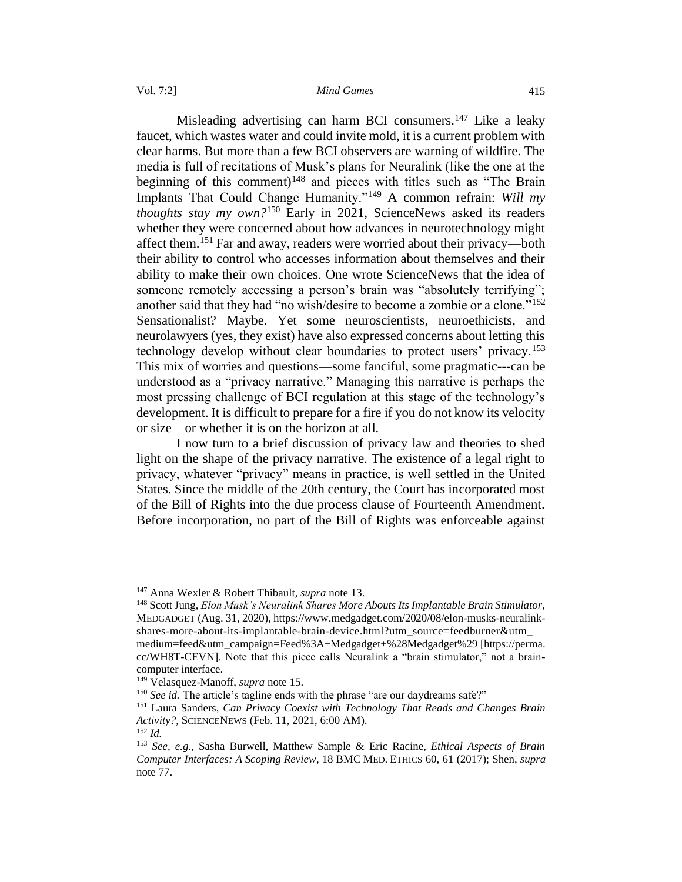Misleading advertising can harm BCI consumers.<sup>147</sup> Like a leaky faucet, which wastes water and could invite mold, it is a current problem with clear harms. But more than a few BCI observers are warning of wildfire. The media is full of recitations of Musk's plans for Neuralink (like the one at the beginning of this comment)<sup>148</sup> and pieces with titles such as "The Brain Implants That Could Change Humanity."<sup>149</sup> A common refrain: *Will my thoughts stay my own?*<sup>150</sup> Early in 2021, ScienceNews asked its readers whether they were concerned about how advances in neurotechnology might affect them.<sup>151</sup> Far and away, readers were worried about their privacy—both their ability to control who accesses information about themselves and their ability to make their own choices. One wrote ScienceNews that the idea of someone remotely accessing a person's brain was "absolutely terrifying"; another said that they had "no wish/desire to become a zombie or a clone."<sup>152</sup> Sensationalist? Maybe. Yet some neuroscientists, neuroethicists, and neurolawyers (yes, they exist) have also expressed concerns about letting this technology develop without clear boundaries to protect users' privacy.<sup>153</sup> This mix of worries and questions—some fanciful, some pragmatic---can be understood as a "privacy narrative." Managing this narrative is perhaps the most pressing challenge of BCI regulation at this stage of the technology's development. It is difficult to prepare for a fire if you do not know its velocity or size—or whether it is on the horizon at all.

I now turn to a brief discussion of privacy law and theories to shed light on the shape of the privacy narrative. The existence of a legal right to privacy, whatever "privacy" means in practice, is well settled in the United States. Since the middle of the 20th century, the Court has incorporated most of the Bill of Rights into the due process clause of Fourteenth Amendment. Before incorporation, no part of the Bill of Rights was enforceable against

<sup>147</sup> Anna Wexler & Robert Thibault, *supra* note 13.

<sup>148</sup>Scott Jung, *Elon Musk's Neuralink Shares More Abouts Its Implantable Brain Stimulator*, MEDGADGET (Aug. 31, 2020), https://www.medgadget.com/2020/08/elon-musks-neuralinkshares-more-about-its-implantable-brain-device.html?utm\_source=feedburner&utm\_ medium=feed&utm\_campaign=Feed%3A+Medgadget+%28Medgadget%29 [https://perma. cc/WH8T-CEVN]. Note that this piece calls Neuralink a "brain stimulator," not a braincomputer interface.

<sup>149</sup> Velasquez-Manoff, *supra* note 15.

<sup>&</sup>lt;sup>150</sup> *See id.* The article's tagline ends with the phrase "are our daydreams safe?"

<sup>151</sup> Laura Sanders, *Can Privacy Coexist with Technology That Reads and Changes Brain Activity?*, SCIENCENEWS (Feb. 11, 2021, 6:00 AM).

 $152$  *Id.* 

<sup>153</sup> *See, e.g.*, Sasha Burwell, Matthew Sample & Eric Racine, *Ethical Aspects of Brain Computer Interfaces: A Scoping Review*, 18 BMC MED. ETHICS 60, 61 (2017); Shen, *supra*  note 77.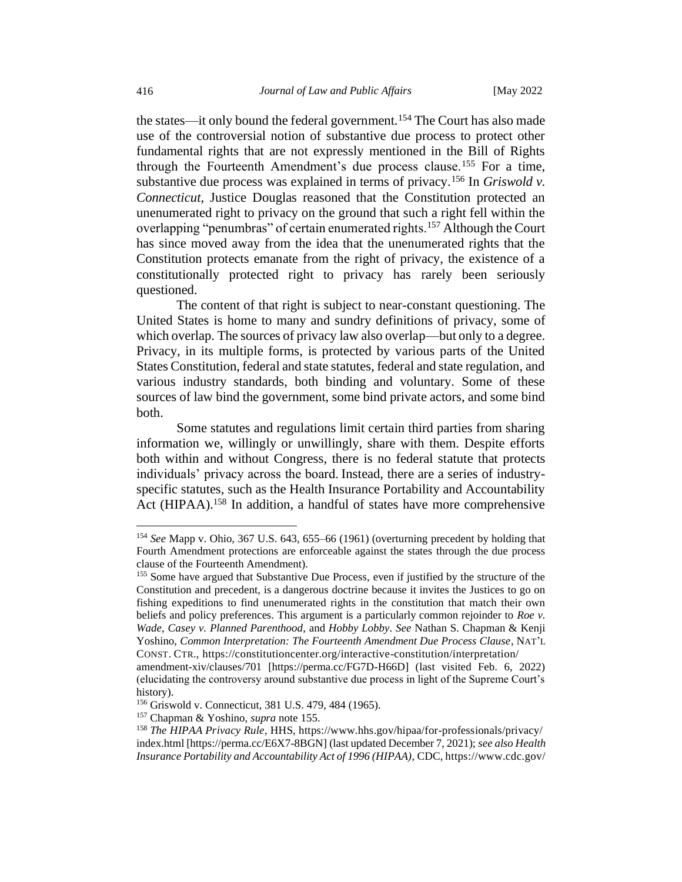the states—it only bound the federal government.<sup>154</sup> The Court has also made use of the controversial notion of substantive due process to protect other fundamental rights that are not expressly mentioned in the Bill of Rights through the Fourteenth Amendment's due process clause.<sup>155</sup> For a time, substantive due process was explained in terms of privacy.<sup>156</sup> In *Griswold v. Connecticut*, Justice Douglas reasoned that the Constitution protected an unenumerated right to privacy on the ground that such a right fell within the overlapping "penumbras" of certain enumerated rights.<sup>157</sup> Although the Court has since moved away from the idea that the unenumerated rights that the Constitution protects emanate from the right of privacy, the existence of a constitutionally protected right to privacy has rarely been seriously questioned.

The content of that right is subject to near-constant questioning. The United States is home to many and sundry definitions of privacy, some of which overlap. The sources of privacy law also overlap—but only to a degree. Privacy, in its multiple forms, is protected by various parts of the United States Constitution, federal and state statutes, federal and state regulation, and various industry standards, both binding and voluntary. Some of these sources of law bind the government, some bind private actors, and some bind both.

Some statutes and regulations limit certain third parties from sharing information we, willingly or unwillingly, share with them. Despite efforts both within and without Congress, there is no federal statute that protects individuals' privacy across the board. Instead, there are a series of industryspecific statutes, such as the Health Insurance Portability and Accountability Act (HIPAA).<sup>158</sup> In addition, a handful of states have more comprehensive

<sup>154</sup> *See* Mapp v. Ohio, 367 U.S. 643, 655–66 (1961) (overturning precedent by holding that Fourth Amendment protections are enforceable against the states through the due process clause of the Fourteenth Amendment).

<sup>155</sup> Some have argued that Substantive Due Process, even if justified by the structure of the Constitution and precedent, is a dangerous doctrine because it invites the Justices to go on fishing expeditions to find unenumerated rights in the constitution that match their own beliefs and policy preferences. This argument is a particularly common rejoinder to *Roe v. Wade*, *Casey v. Planned Parenthood*, and *Hobby Lobby*. *See* Nathan S. Chapman & Kenji Yoshino, *Common Interpretation: The Fourteenth Amendment Due Process Clause*, NAT'L CONST. CTR., https://constitutioncenter.org/interactive-constitution/interpretation/

amendment-xiv/clauses/701 [https://perma.cc/FG7D-H66D] (last visited Feb. 6, 2022) (elucidating the controversy around substantive due process in light of the Supreme Court's history).

<sup>156</sup> Griswold v. Connecticut, 381 U.S. 479, 484 (1965).

<sup>157</sup> Chapman & Yoshino, *supra* note 155.

<sup>158</sup> *The HIPAA Privacy Rule*, HHS, https://www.hhs.gov/hipaa/for-professionals/privacy/ index.html [https://perma.cc/E6X7-8BGN] (last updated December 7, 2021); *see also Health Insurance Portability and Accountability Act of 1996 (HIPAA)*, CDC, https://www.cdc.gov/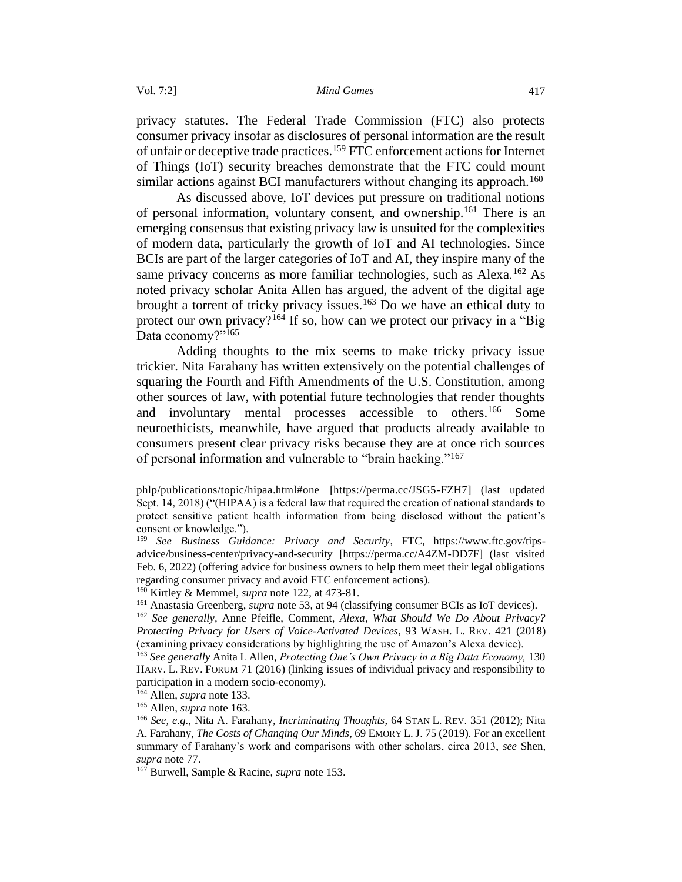privacy statutes. The Federal Trade Commission (FTC) also protects consumer privacy insofar as disclosures of personal information are the result of unfair or deceptive trade practices.<sup>159</sup> FTC enforcement actions for Internet of Things (IoT) security breaches demonstrate that the FTC could mount similar actions against BCI manufacturers without changing its approach.<sup>160</sup>

As discussed above, IoT devices put pressure on traditional notions of personal information, voluntary consent, and ownership.<sup>161</sup> There is an emerging consensus that existing privacy law is unsuited for the complexities of modern data, particularly the growth of IoT and AI technologies. Since BCIs are part of the larger categories of IoT and AI, they inspire many of the same privacy concerns as more familiar technologies, such as Alexa.<sup>162</sup> As noted privacy scholar Anita Allen has argued, the advent of the digital age brought a torrent of tricky privacy issues.<sup>163</sup> Do we have an ethical duty to protect our own privacy?<sup>164</sup> If so, how can we protect our privacy in a "Big Data economy?"165

Adding thoughts to the mix seems to make tricky privacy issue trickier. Nita Farahany has written extensively on the potential challenges of squaring the Fourth and Fifth Amendments of the U.S. Constitution, among other sources of law, with potential future technologies that render thoughts and involuntary mental processes accessible to others.<sup>166</sup> Some neuroethicists, meanwhile, have argued that products already available to consumers present clear privacy risks because they are at once rich sources of personal information and vulnerable to "brain hacking."<sup>167</sup>

phlp/publications/topic/hipaa.html#one [https://perma.cc/JSG5-FZH7] (last updated Sept. 14, 2018) ("(HIPAA) is a federal law that required the creation of national standards to protect sensitive patient health information from being disclosed without the patient's consent or knowledge.").

<sup>159</sup> *See Business Guidance: Privacy and Security*, FTC, https://www.ftc.gov/tipsadvice/business-center/privacy-and-security [https://perma.cc/A4ZM-DD7F] (last visited Feb. 6, 2022) (offering advice for business owners to help them meet their legal obligations regarding consumer privacy and avoid FTC enforcement actions).

<sup>160</sup> Kirtley & Memmel, *supra* note 122, at 473-81.

<sup>161</sup> Anastasia Greenberg, *supra* note 53, at 94 (classifying consumer BCIs as IoT devices).

<sup>162</sup> *See generally,* Anne Pfeifle, Comment, *Alexa, What Should We Do About Privacy? Protecting Privacy for Users of Voice-Activated Devices*, 93 WASH. L. REV. 421 (2018) (examining privacy considerations by highlighting the use of Amazon's Alexa device).

<sup>163</sup> *See generally* Anita L Allen, *Protecting One's Own Privacy in a Big Data Economy,* 130 HARV. L. REV. FORUM 71 (2016) (linking issues of individual privacy and responsibility to participation in a modern socio-economy).

<sup>164</sup> Allen, *supra* note 133.

<sup>165</sup> Allen, *supra* note 163.

<sup>166</sup> *See, e.g.*, Nita A. Farahany*, Incriminating Thoughts*, 64 STAN L. REV. 351 (2012); Nita A. Farahany, *The Costs of Changing Our Minds*, 69 EMORY L. J. 75 (2019). For an excellent summary of Farahany's work and comparisons with other scholars, circa 2013, *see* Shen, *supra* note 77.

<sup>167</sup> Burwell, Sample & Racine, *supra* note 153.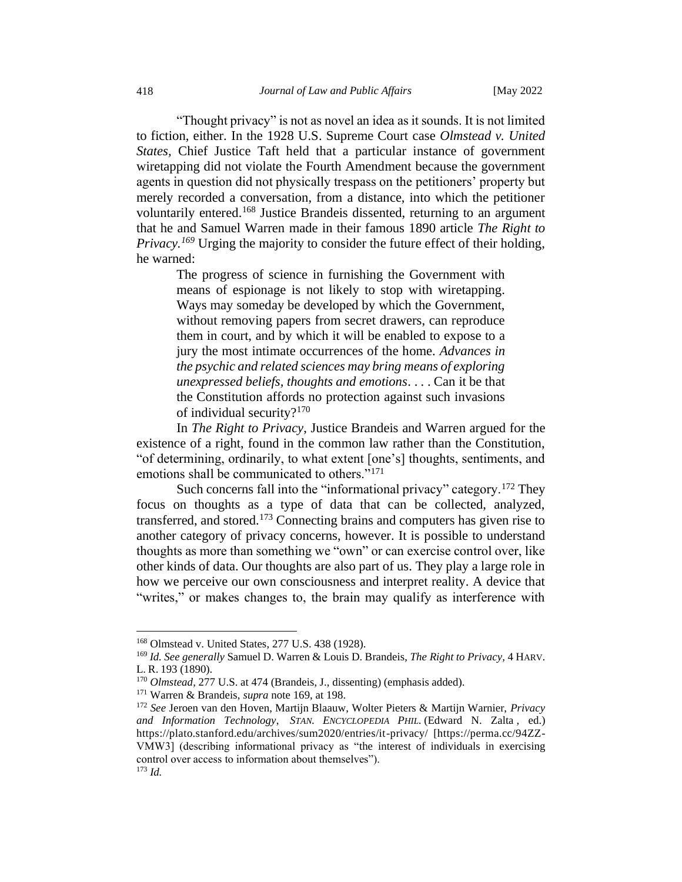"Thought privacy" is not as novel an idea as it sounds. It is not limited to fiction, either. In the 1928 U.S. Supreme Court case *Olmstead v. United States,* Chief Justice Taft held that a particular instance of government wiretapping did not violate the Fourth Amendment because the government agents in question did not physically trespass on the petitioners' property but merely recorded a conversation, from a distance, into which the petitioner voluntarily entered.<sup>168</sup> Justice Brandeis dissented, returning to an argument that he and Samuel Warren made in their famous 1890 article *The Right to Privacy.<sup>169</sup>* Urging the majority to consider the future effect of their holding, he warned:

The progress of science in furnishing the Government with means of espionage is not likely to stop with wiretapping. Ways may someday be developed by which the Government, without removing papers from secret drawers, can reproduce them in court, and by which it will be enabled to expose to a jury the most intimate occurrences of the home. *Advances in the psychic and related sciences may bring means of exploring unexpressed beliefs, thoughts and emotions*. . . . Can it be that the Constitution affords no protection against such invasions of individual security?<sup>170</sup>

In *The Right to Privacy*, Justice Brandeis and Warren argued for the existence of a right, found in the common law rather than the Constitution, "of determining, ordinarily, to what extent [one's] thoughts, sentiments, and emotions shall be communicated to others."<sup>171</sup>

Such concerns fall into the "informational privacy" category.<sup>172</sup> They focus on thoughts as a type of data that can be collected, analyzed, transferred, and stored.<sup>173</sup> Connecting brains and computers has given rise to another category of privacy concerns, however. It is possible to understand thoughts as more than something we "own" or can exercise control over, like other kinds of data. Our thoughts are also part of us. They play a large role in how we perceive our own consciousness and interpret reality. A device that "writes," or makes changes to, the brain may qualify as interference with

<sup>168</sup> Olmstead v. United States, 277 U.S. 438 (1928).

<sup>169</sup> *Id. See generally* Samuel D. Warren & Louis D. Brandeis, *The Right to Privacy,* 4 HARV. L. R. 193 (1890).

<sup>&</sup>lt;sup>170</sup> *Olmstead*, 277 U.S. at 474 (Brandeis, J., dissenting) (emphasis added).

<sup>171</sup> Warren & Brandeis, *supra* note 169, at 198.

<sup>172</sup> *See* Jeroen van den Hoven, Martijn Blaauw, Wolter Pieters & Martijn Warnier, *Privacy and Information Technology*, *STAN. ENCYCLOPEDIA PHIL.* (Edward N. Zalta , ed.) https://plato.stanford.edu/archives/sum2020/entries/it-privacy/ [https://perma.cc/94ZZ-VMW3] (describing informational privacy as "the interest of individuals in exercising control over access to information about themselves"). <sup>173</sup> *Id.*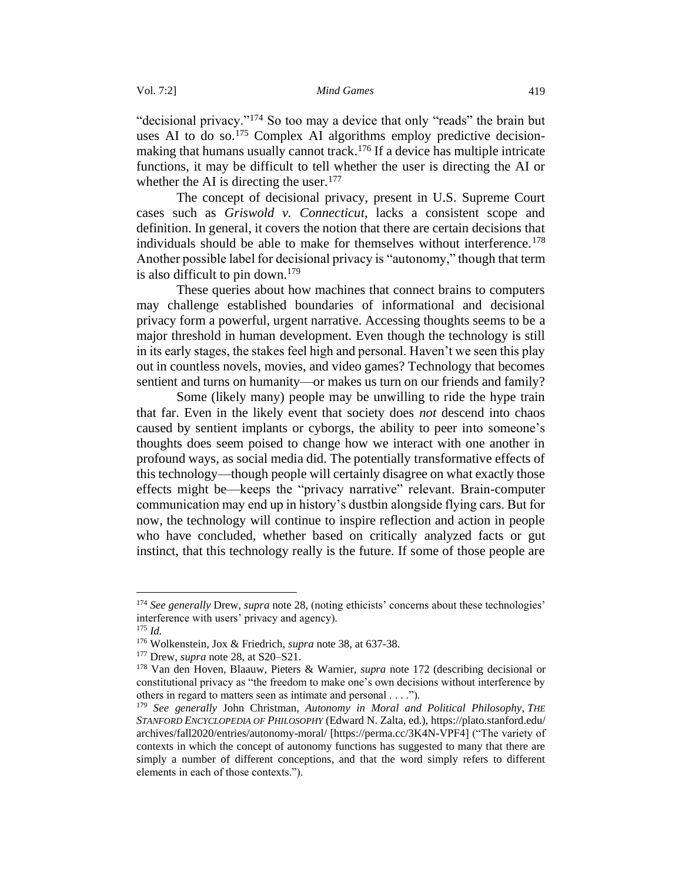"decisional privacy."<sup>174</sup> So too may a device that only "reads" the brain but uses AI to do so.<sup>175</sup> Complex AI algorithms employ predictive decisionmaking that humans usually cannot track.<sup>176</sup> If a device has multiple intricate functions, it may be difficult to tell whether the user is directing the AI or whether the AI is directing the user. $177$ 

The concept of decisional privacy, present in U.S. Supreme Court cases such as *Griswold v. Connecticut*, lacks a consistent scope and definition. In general, it covers the notion that there are certain decisions that individuals should be able to make for themselves without interference.<sup>178</sup> Another possible label for decisional privacy is "autonomy," though that term is also difficult to pin down.<sup>179</sup>

These queries about how machines that connect brains to computers may challenge established boundaries of informational and decisional privacy form a powerful, urgent narrative. Accessing thoughts seems to be a major threshold in human development. Even though the technology is still in its early stages, the stakes feel high and personal. Haven't we seen this play out in countless novels, movies, and video games? Technology that becomes sentient and turns on humanity—or makes us turn on our friends and family?

Some (likely many) people may be unwilling to ride the hype train that far. Even in the likely event that society does *not* descend into chaos caused by sentient implants or cyborgs, the ability to peer into someone's thoughts does seem poised to change how we interact with one another in profound ways, as social media did. The potentially transformative effects of this technology—though people will certainly disagree on what exactly those effects might be—keeps the "privacy narrative" relevant. Brain-computer communication may end up in history's dustbin alongside flying cars. But for now, the technology will continue to inspire reflection and action in people who have concluded, whether based on critically analyzed facts or gut instinct, that this technology really is the future. If some of those people are

<sup>174</sup> *See generally* Drew, *supra* note 28, (noting ethicists' concerns about these technologies' interference with users' privacy and agency).

<sup>175</sup> *Id.* 

<sup>176</sup> Wolkenstein, Jox & Friedrich, *supra* note 38, at 637-38.

<sup>177</sup> Drew, *supra* note 28, at S20–S21.

<sup>178</sup> Van den Hoven, Blaauw, Pieters & Warnier, *supra* note 172 (describing decisional or constitutional privacy as "the freedom to make one's own decisions without interference by others in regard to matters seen as intimate and personal . . . .").

<sup>179</sup> *See generally* John Christman, *Autonomy in Moral and Political Philosophy*, *THE STANFORD ENCYCLOPEDIA OF PHILOSOPHY* (Edward N. Zalta, ed.), https://plato.stanford.edu/ archives/fall2020/entries/autonomy-moral/ [https://perma.cc/3K4N-VPF4] ("The variety of contexts in which the concept of autonomy functions has suggested to many that there are simply a number of different conceptions, and that the word simply refers to different elements in each of those contexts.").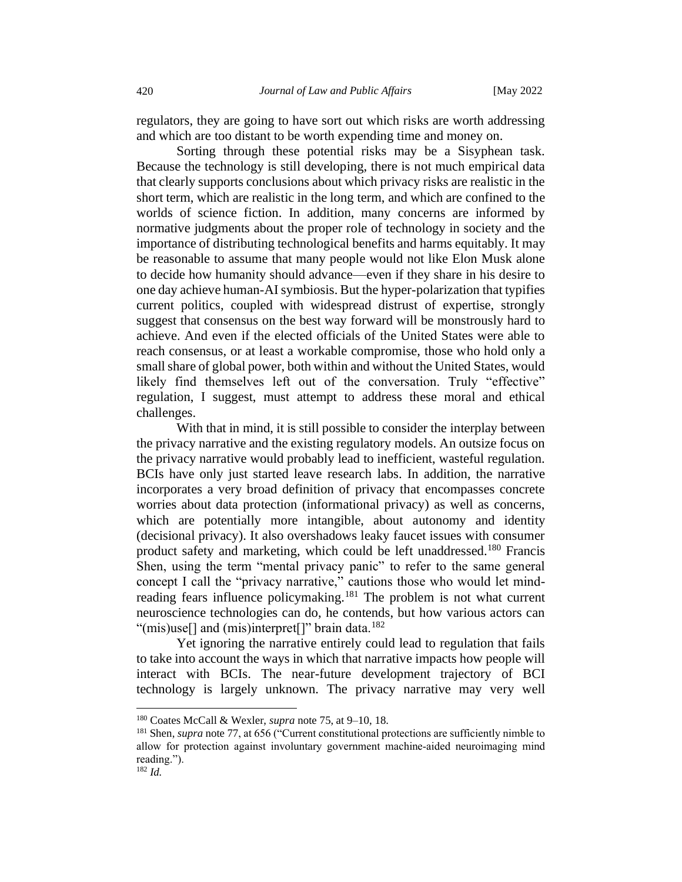regulators, they are going to have sort out which risks are worth addressing and which are too distant to be worth expending time and money on.

Sorting through these potential risks may be a Sisyphean task. Because the technology is still developing, there is not much empirical data that clearly supports conclusions about which privacy risks are realistic in the short term, which are realistic in the long term, and which are confined to the worlds of science fiction. In addition, many concerns are informed by normative judgments about the proper role of technology in society and the importance of distributing technological benefits and harms equitably. It may be reasonable to assume that many people would not like Elon Musk alone to decide how humanity should advance—even if they share in his desire to one day achieve human-AI symbiosis. But the hyper-polarization that typifies current politics, coupled with widespread distrust of expertise, strongly suggest that consensus on the best way forward will be monstrously hard to achieve. And even if the elected officials of the United States were able to reach consensus, or at least a workable compromise, those who hold only a small share of global power, both within and without the United States, would likely find themselves left out of the conversation. Truly "effective" regulation, I suggest, must attempt to address these moral and ethical challenges.

With that in mind, it is still possible to consider the interplay between the privacy narrative and the existing regulatory models. An outsize focus on the privacy narrative would probably lead to inefficient, wasteful regulation. BCIs have only just started leave research labs. In addition, the narrative incorporates a very broad definition of privacy that encompasses concrete worries about data protection (informational privacy) as well as concerns, which are potentially more intangible, about autonomy and identity (decisional privacy). It also overshadows leaky faucet issues with consumer product safety and marketing, which could be left unaddressed.<sup>180</sup> Francis Shen, using the term "mental privacy panic" to refer to the same general concept I call the "privacy narrative," cautions those who would let mindreading fears influence policymaking.<sup>181</sup> The problem is not what current neuroscience technologies can do, he contends, but how various actors can "(mis)use<sup>[]</sup> and (mis)interpret<sup>[]"</sup> brain data.<sup>182</sup>

Yet ignoring the narrative entirely could lead to regulation that fails to take into account the ways in which that narrative impacts how people will interact with BCIs. The near-future development trajectory of BCI technology is largely unknown. The privacy narrative may very well

<sup>180</sup> Coates McCall & Wexler, *supra* note 75, at 9–10, 18.

<sup>181</sup> Shen, *supra* note 77, at 656 ("Current constitutional protections are sufficiently nimble to allow for protection against involuntary government machine‐aided neuroimaging mind reading.").

<sup>182</sup> *Id.*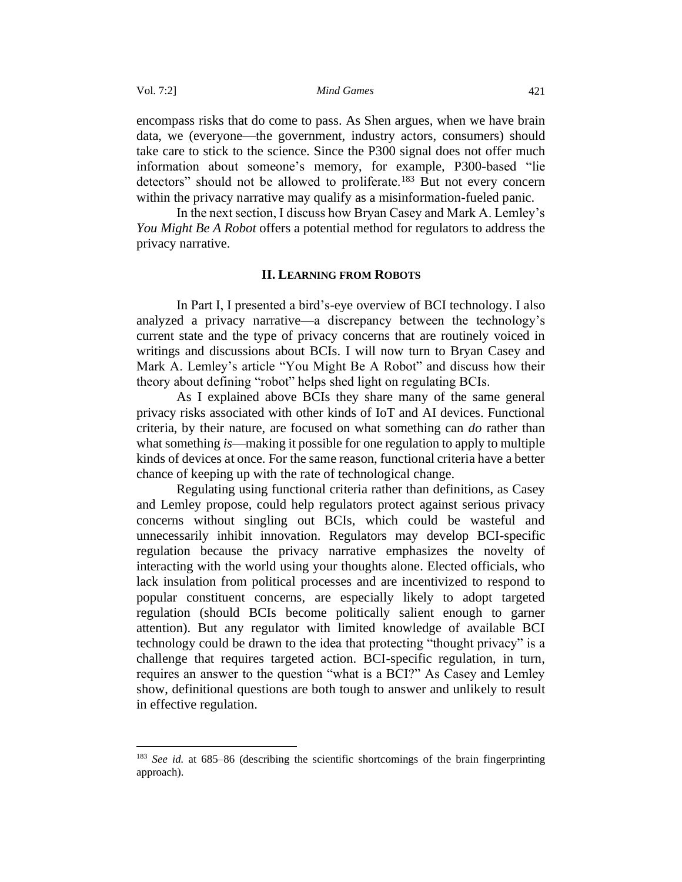encompass risks that do come to pass. As Shen argues, when we have brain data, we (everyone—the government, industry actors, consumers) should take care to stick to the science. Since the P300 signal does not offer much information about someone's memory, for example, P300-based "lie detectors" should not be allowed to proliferate.<sup>183</sup> But not every concern within the privacy narrative may qualify as a misinformation-fueled panic.

In the next section, I discuss how Bryan Casey and Mark A. Lemley's *You Might Be A Robot* offers a potential method for regulators to address the privacy narrative.

#### **II. LEARNING FROM ROBOTS**

<span id="page-30-0"></span>In Part I, I presented a bird's-eye overview of BCI technology. I also analyzed a privacy narrative—a discrepancy between the technology's current state and the type of privacy concerns that are routinely voiced in writings and discussions about BCIs. I will now turn to Bryan Casey and Mark A. Lemley's article "You Might Be A Robot" and discuss how their theory about defining "robot" helps shed light on regulating BCIs.

As I explained above BCIs they share many of the same general privacy risks associated with other kinds of IoT and AI devices. Functional criteria, by their nature, are focused on what something can *do* rather than what something *is*—making it possible for one regulation to apply to multiple kinds of devices at once. For the same reason, functional criteria have a better chance of keeping up with the rate of technological change.

Regulating using functional criteria rather than definitions, as Casey and Lemley propose, could help regulators protect against serious privacy concerns without singling out BCIs, which could be wasteful and unnecessarily inhibit innovation. Regulators may develop BCI-specific regulation because the privacy narrative emphasizes the novelty of interacting with the world using your thoughts alone. Elected officials, who lack insulation from political processes and are incentivized to respond to popular constituent concerns, are especially likely to adopt targeted regulation (should BCIs become politically salient enough to garner attention). But any regulator with limited knowledge of available BCI technology could be drawn to the idea that protecting "thought privacy" is a challenge that requires targeted action. BCI-specific regulation, in turn, requires an answer to the question "what is a BCI?" As Casey and Lemley show, definitional questions are both tough to answer and unlikely to result in effective regulation.

<sup>183</sup> *See id.* at 685–86 (describing the scientific shortcomings of the brain fingerprinting approach).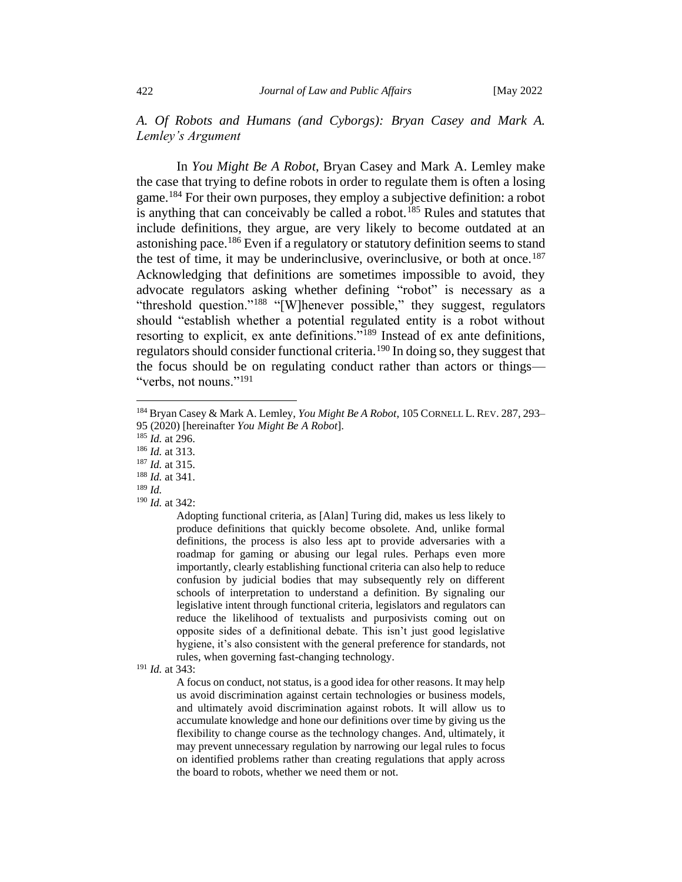<span id="page-31-0"></span>*A. Of Robots and Humans (and Cyborgs): Bryan Casey and Mark A. Lemley's Argument*

In *You Might Be A Robot*, Bryan Casey and Mark A. Lemley make the case that trying to define robots in order to regulate them is often a losing game.<sup>184</sup> For their own purposes, they employ a subjective definition: a robot is anything that can conceivably be called a robot.<sup>185</sup> Rules and statutes that include definitions, they argue, are very likely to become outdated at an astonishing pace.<sup>186</sup> Even if a regulatory or statutory definition seems to stand the test of time, it may be underinclusive, overinclusive, or both at once.<sup>187</sup> Acknowledging that definitions are sometimes impossible to avoid, they advocate regulators asking whether defining "robot" is necessary as a "threshold question."<sup>188</sup> "[W]henever possible," they suggest, regulators should "establish whether a potential regulated entity is a robot without resorting to explicit, ex ante definitions."<sup>189</sup> Instead of ex ante definitions, regulators should consider functional criteria.<sup>190</sup> In doing so, they suggest that the focus should be on regulating conduct rather than actors or things— "verbs, not nouns."<sup>191</sup>

<sup>187</sup> *Id.* at 315.

Adopting functional criteria, as [Alan] Turing did, makes us less likely to produce definitions that quickly become obsolete. And, unlike formal definitions, the process is also less apt to provide adversaries with a roadmap for gaming or abusing our legal rules. Perhaps even more importantly, clearly establishing functional criteria can also help to reduce confusion by judicial bodies that may subsequently rely on different schools of interpretation to understand a definition. By signaling our legislative intent through functional criteria, legislators and regulators can reduce the likelihood of textualists and purposivists coming out on opposite sides of a definitional debate. This isn't just good legislative hygiene, it's also consistent with the general preference for standards, not rules, when governing fast-changing technology.

A focus on conduct, not status, is a good idea for other reasons. It may help us avoid discrimination against certain technologies or business models, and ultimately avoid discrimination against robots. It will allow us to accumulate knowledge and hone our definitions over time by giving us the flexibility to change course as the technology changes. And, ultimately, it may prevent unnecessary regulation by narrowing our legal rules to focus on identified problems rather than creating regulations that apply across the board to robots, whether we need them or not.

<sup>184</sup> Bryan Casey & Mark A. Lemley, *You Might Be A Robot*, 105 CORNELL L. REV. 287, 293– 95 (2020) [hereinafter *You Might Be A Robot*].

<sup>185</sup> *Id.* at 296.

<sup>186</sup> *Id.* at 313.

<sup>188</sup> *Id.* at 341.

<sup>189</sup> *Id.* 

<sup>190</sup> *Id.* at 342:

<sup>191</sup> *Id.* at 343: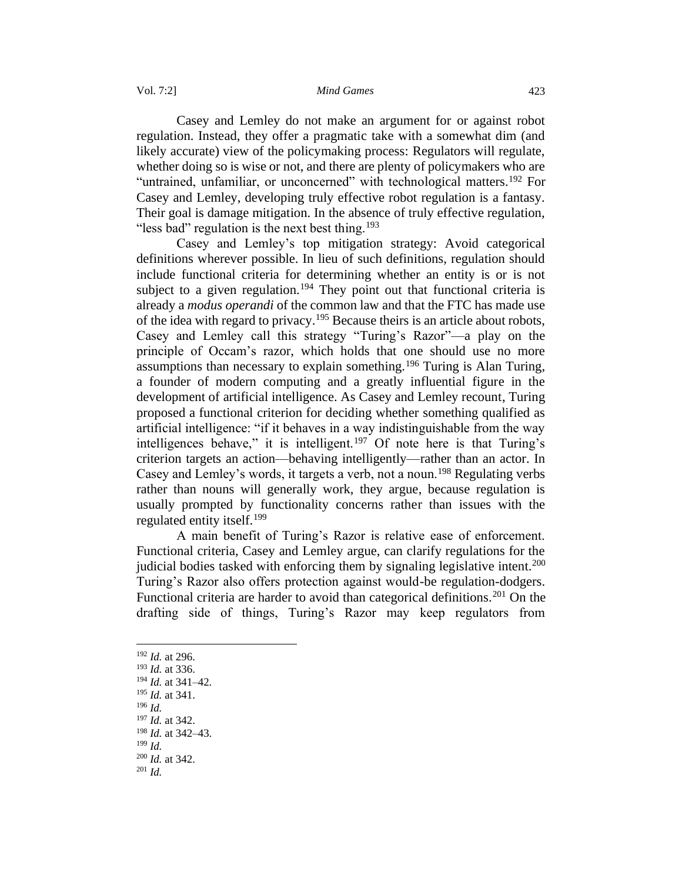#### Vol. 7:2] *Mind Games* 423

Casey and Lemley do not make an argument for or against robot regulation. Instead, they offer a pragmatic take with a somewhat dim (and likely accurate) view of the policymaking process: Regulators will regulate, whether doing so is wise or not, and there are plenty of policymakers who are "untrained, unfamiliar, or unconcerned" with technological matters.<sup>192</sup> For Casey and Lemley, developing truly effective robot regulation is a fantasy. Their goal is damage mitigation. In the absence of truly effective regulation, "less bad" regulation is the next best thing.<sup>193</sup>

Casey and Lemley's top mitigation strategy: Avoid categorical definitions wherever possible. In lieu of such definitions, regulation should include functional criteria for determining whether an entity is or is not subject to a given regulation.<sup>194</sup> They point out that functional criteria is already a *modus operandi* of the common law and that the FTC has made use of the idea with regard to privacy.<sup>195</sup> Because theirs is an article about robots, Casey and Lemley call this strategy "Turing's Razor"—a play on the principle of Occam's razor, which holds that one should use no more assumptions than necessary to explain something.<sup>196</sup> Turing is Alan Turing, a founder of modern computing and a greatly influential figure in the development of artificial intelligence. As Casey and Lemley recount, Turing proposed a functional criterion for deciding whether something qualified as artificial intelligence: "if it behaves in a way indistinguishable from the way intelligences behave," it is intelligent.<sup>197</sup> Of note here is that Turing's criterion targets an action—behaving intelligently—rather than an actor. In Casey and Lemley's words, it targets a verb, not a noun.<sup>198</sup> Regulating verbs rather than nouns will generally work, they argue, because regulation is usually prompted by functionality concerns rather than issues with the regulated entity itself.<sup>199</sup>

A main benefit of Turing's Razor is relative ease of enforcement. Functional criteria, Casey and Lemley argue, can clarify regulations for the judicial bodies tasked with enforcing them by signaling legislative intent.<sup>200</sup> Turing's Razor also offers protection against would-be regulation-dodgers. Functional criteria are harder to avoid than categorical definitions.<sup>201</sup> On the drafting side of things, Turing's Razor may keep regulators from

- <sup>198</sup> *Id.* at 342–43.
- <sup>199</sup> *Id.*

<sup>192</sup> *Id.* at 296. <sup>193</sup> *Id.* at 336.

<sup>194</sup> *Id.* at 341–42.

<sup>195</sup> *Id.* at 341.

<sup>196</sup> *Id.* 

<sup>197</sup> *Id.* at 342.

<sup>200</sup> *Id.* at 342.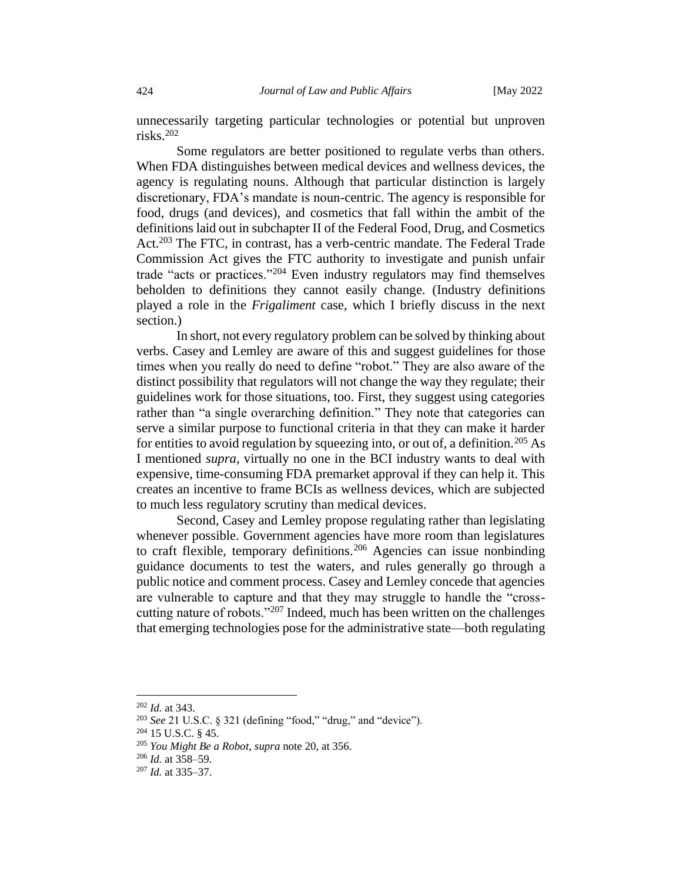unnecessarily targeting particular technologies or potential but unproven risks.<sup>202</sup>

Some regulators are better positioned to regulate verbs than others. When FDA distinguishes between medical devices and wellness devices, the agency is regulating nouns. Although that particular distinction is largely discretionary, FDA's mandate is noun-centric. The agency is responsible for food, drugs (and devices), and cosmetics that fall within the ambit of the definitions laid out in subchapter II of the Federal Food, Drug, and Cosmetics Act.<sup>203</sup> The FTC, in contrast, has a verb-centric mandate. The Federal Trade Commission Act gives the FTC authority to investigate and punish unfair trade "acts or practices."<sup>204</sup> Even industry regulators may find themselves beholden to definitions they cannot easily change. (Industry definitions played a role in the *Frigaliment* case, which I briefly discuss in the next section.)

In short, not every regulatory problem can be solved by thinking about verbs. Casey and Lemley are aware of this and suggest guidelines for those times when you really do need to define "robot." They are also aware of the distinct possibility that regulators will not change the way they regulate; their guidelines work for those situations, too. First, they suggest using categories rather than "a single overarching definition." They note that categories can serve a similar purpose to functional criteria in that they can make it harder for entities to avoid regulation by squeezing into, or out of, a definition.<sup>205</sup> As I mentioned *supra*, virtually no one in the BCI industry wants to deal with expensive, time-consuming FDA premarket approval if they can help it. This creates an incentive to frame BCIs as wellness devices, which are subjected to much less regulatory scrutiny than medical devices.

Second, Casey and Lemley propose regulating rather than legislating whenever possible. Government agencies have more room than legislatures to craft flexible, temporary definitions.<sup>206</sup> Agencies can issue nonbinding guidance documents to test the waters, and rules generally go through a public notice and comment process. Casey and Lemley concede that agencies are vulnerable to capture and that they may struggle to handle the "crosscutting nature of robots."<sup>207</sup> Indeed, much has been written on the challenges that emerging technologies pose for the administrative state—both regulating

<sup>202</sup> *Id.* at 343.

<sup>203</sup> *See* 21 U.S.C. § 321 (defining "food," "drug," and "device").

<sup>204</sup> 15 U.S.C. § 45.

<sup>205</sup> *You Might Be a Robot*, *supra* note 20, at 356.

 $206$  *Id.* at  $358-59$ .

<sup>207</sup> *Id.* at 335–37.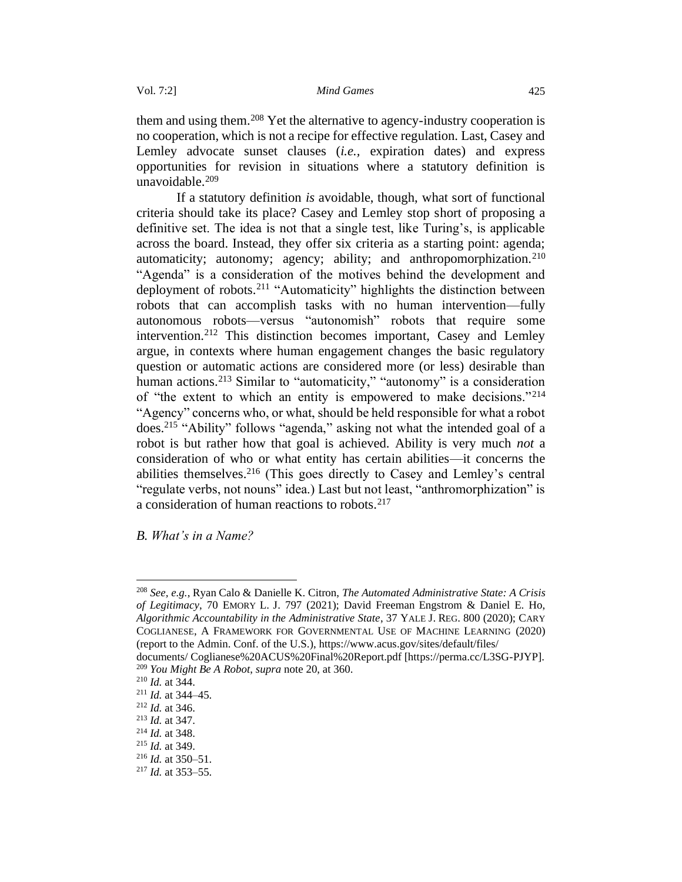them and using them.<sup>208</sup> Yet the alternative to agency-industry cooperation is no cooperation, which is not a recipe for effective regulation. Last, Casey and Lemley advocate sunset clauses (*i.e.,* expiration dates) and express opportunities for revision in situations where a statutory definition is unavoidable.<sup>209</sup>

If a statutory definition *is* avoidable, though, what sort of functional criteria should take its place? Casey and Lemley stop short of proposing a definitive set. The idea is not that a single test, like Turing's, is applicable across the board. Instead, they offer six criteria as a starting point: agenda; automaticity; autonomy; agency; ability; and anthropomorphization.<sup>210</sup> "Agenda" is a consideration of the motives behind the development and deployment of robots.<sup>211</sup> "Automaticity" highlights the distinction between robots that can accomplish tasks with no human intervention—fully autonomous robots—versus "autonomish" robots that require some intervention.<sup>212</sup> This distinction becomes important, Casey and Lemley argue, in contexts where human engagement changes the basic regulatory question or automatic actions are considered more (or less) desirable than human actions.<sup>213</sup> Similar to "automaticity," "autonomy" is a consideration of "the extent to which an entity is empowered to make decisions."<sup>214</sup> "Agency" concerns who, or what, should be held responsible for what a robot does.<sup>215</sup> "Ability" follows "agenda," asking not what the intended goal of a robot is but rather how that goal is achieved. Ability is very much *not* a consideration of who or what entity has certain abilities—it concerns the abilities themselves.<sup>216</sup> (This goes directly to Casey and Lemley's central "regulate verbs, not nouns" idea.) Last but not least, "anthromorphization" is a consideration of human reactions to robots.<sup>217</sup>

<span id="page-34-0"></span>*B. What's in a Name?*

<sup>208</sup> *See, e.g.*, Ryan Calo & Danielle K. Citron, *The Automated Administrative State: A Crisis of Legitimacy*, 70 EMORY L. J. 797 (2021); David Freeman Engstrom & Daniel E. Ho, *Algorithmic Accountability in the Administrative State*, 37 YALE J. REG. 800 (2020); CARY COGLIANESE, A FRAMEWORK FOR GOVERNMENTAL USE OF MACHINE LEARNING (2020) (report to the Admin. Conf. of the U.S.), https://www.acus.gov/sites/default/files/

documents/ Coglianese%20ACUS%20Final%20Report.pdf [https://perma.cc/L3SG-PJYP]. <sup>209</sup> *You Might Be A Robot*, *supra* note 20, at 360.

<sup>210</sup> *Id.* at 344.

<sup>211</sup> *Id.* at 344–45.

<sup>212</sup> *Id.* at 346.

<sup>213</sup> *Id.* at 347.

<sup>214</sup> *Id.* at 348.

<sup>215</sup> *Id.* at 349.

<sup>216</sup> *Id.* at 350–51.

<sup>217</sup> *Id.* at 353–55.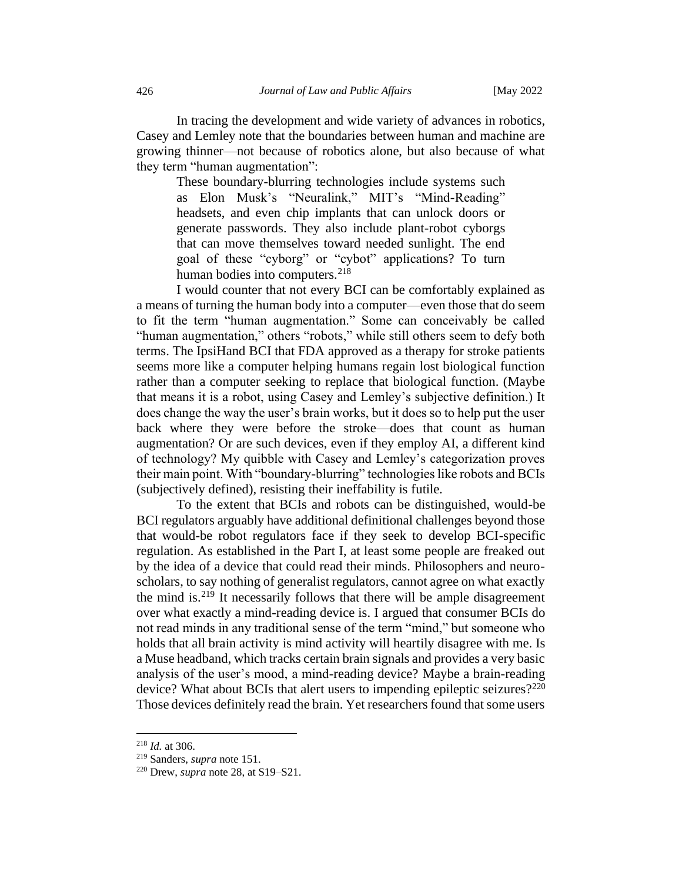In tracing the development and wide variety of advances in robotics, Casey and Lemley note that the boundaries between human and machine are growing thinner—not because of robotics alone, but also because of what they term "human augmentation":

These boundary-blurring technologies include systems such as Elon Musk's "Neuralink," MIT's "Mind-Reading" headsets, and even chip implants that can unlock doors or generate passwords. They also include plant-robot cyborgs that can move themselves toward needed sunlight. The end goal of these "cyborg" or "cybot" applications? To turn human bodies into computers.<sup>218</sup>

I would counter that not every BCI can be comfortably explained as a means of turning the human body into a computer—even those that do seem to fit the term "human augmentation." Some can conceivably be called "human augmentation," others "robots," while still others seem to defy both terms. The IpsiHand BCI that FDA approved as a therapy for stroke patients seems more like a computer helping humans regain lost biological function rather than a computer seeking to replace that biological function. (Maybe that means it is a robot, using Casey and Lemley's subjective definition.) It does change the way the user's brain works, but it does so to help put the user back where they were before the stroke—does that count as human augmentation? Or are such devices, even if they employ AI, a different kind of technology? My quibble with Casey and Lemley's categorization proves their main point. With "boundary-blurring" technologies like robots and BCIs (subjectively defined), resisting their ineffability is futile.

To the extent that BCIs and robots can be distinguished, would-be BCI regulators arguably have additional definitional challenges beyond those that would-be robot regulators face if they seek to develop BCI-specific regulation. As established in the Part I, at least some people are freaked out by the idea of a device that could read their minds. Philosophers and neuroscholars, to say nothing of generalist regulators, cannot agree on what exactly the mind is.<sup>219</sup> It necessarily follows that there will be ample disagreement over what exactly a mind-reading device is. I argued that consumer BCIs do not read minds in any traditional sense of the term "mind," but someone who holds that all brain activity is mind activity will heartily disagree with me. Is a Muse headband, which tracks certain brain signals and provides a very basic analysis of the user's mood, a mind-reading device? Maybe a brain-reading device? What about BCIs that alert users to impending epileptic seizures?<sup>220</sup> Those devices definitely read the brain. Yet researchers found that some users

<sup>218</sup> *Id.* at 306.

<sup>219</sup> Sanders, *supra* note 151.

<sup>220</sup> Drew, *supra* note 28, at S19–S21.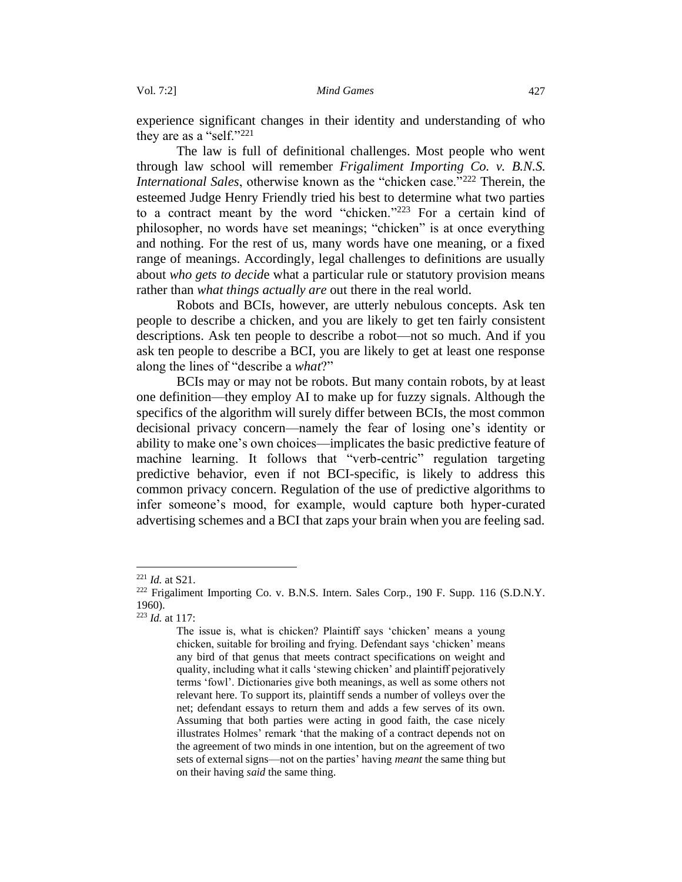experience significant changes in their identity and understanding of who they are as a "self."<sup>221</sup>

The law is full of definitional challenges. Most people who went through law school will remember *Frigaliment Importing Co. v. B.N.S. International Sales*, otherwise known as the "chicken case."<sup>222</sup> Therein, the esteemed Judge Henry Friendly tried his best to determine what two parties to a contract meant by the word "chicken." <sup>223</sup> For a certain kind of philosopher, no words have set meanings; "chicken" is at once everything and nothing. For the rest of us, many words have one meaning, or a fixed range of meanings. Accordingly, legal challenges to definitions are usually about *who gets to decid*e what a particular rule or statutory provision means rather than *what things actually are* out there in the real world.

Robots and BCIs, however, are utterly nebulous concepts. Ask ten people to describe a chicken, and you are likely to get ten fairly consistent descriptions. Ask ten people to describe a robot—not so much. And if you ask ten people to describe a BCI, you are likely to get at least one response along the lines of "describe a *what*?"

BCIs may or may not be robots. But many contain robots, by at least one definition—they employ AI to make up for fuzzy signals. Although the specifics of the algorithm will surely differ between BCIs, the most common decisional privacy concern—namely the fear of losing one's identity or ability to make one's own choices—implicates the basic predictive feature of machine learning. It follows that "verb-centric" regulation targeting predictive behavior, even if not BCI-specific, is likely to address this common privacy concern. Regulation of the use of predictive algorithms to infer someone's mood, for example, would capture both hyper-curated advertising schemes and a BCI that zaps your brain when you are feeling sad.

<sup>221</sup> *Id.* at S21.

<sup>&</sup>lt;sup>222</sup> Frigaliment Importing Co. v. B.N.S. Intern. Sales Corp., 190 F. Supp. 116 (S.D.N.Y. 1960).

<sup>223</sup> *Id.* at 117:

The issue is, what is chicken? Plaintiff says 'chicken' means a young chicken, suitable for broiling and frying. Defendant says 'chicken' means any bird of that genus that meets contract specifications on weight and quality, including what it calls 'stewing chicken' and plaintiff pejoratively terms 'fowl'. Dictionaries give both meanings, as well as some others not relevant here. To support its, plaintiff sends a number of volleys over the net; defendant essays to return them and adds a few serves of its own. Assuming that both parties were acting in good faith, the case nicely illustrates Holmes' remark 'that the making of a contract depends not on the agreement of two minds in one intention, but on the agreement of two sets of external signs—not on the parties' having *meant* the same thing but on their having *said* the same thing.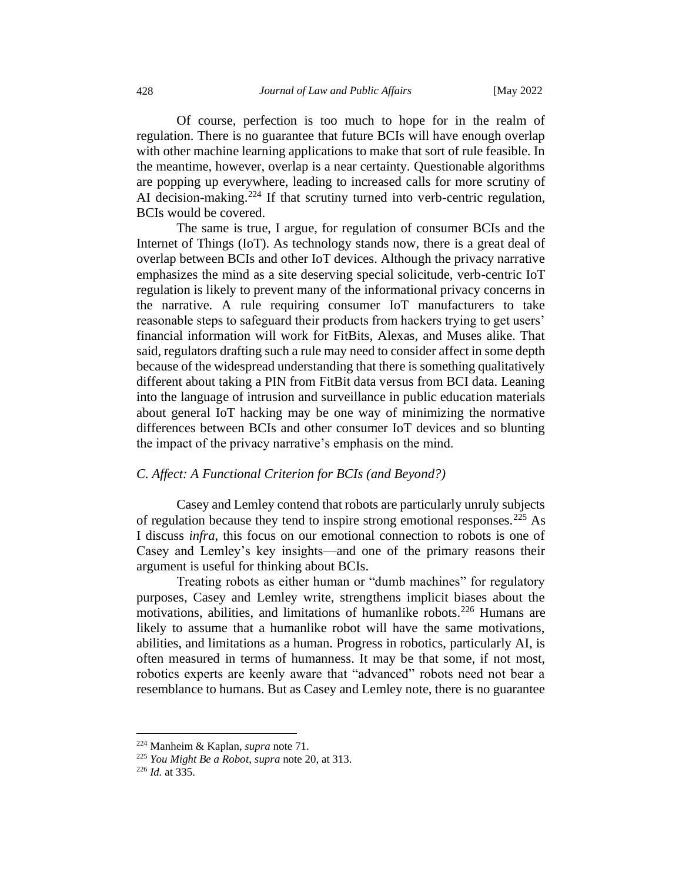Of course, perfection is too much to hope for in the realm of regulation. There is no guarantee that future BCIs will have enough overlap with other machine learning applications to make that sort of rule feasible. In the meantime, however, overlap is a near certainty. Questionable algorithms are popping up everywhere, leading to increased calls for more scrutiny of AI decision-making.<sup>224</sup> If that scrutiny turned into verb-centric regulation, BCIs would be covered.

The same is true, I argue, for regulation of consumer BCIs and the Internet of Things (IoT). As technology stands now, there is a great deal of overlap between BCIs and other IoT devices. Although the privacy narrative emphasizes the mind as a site deserving special solicitude, verb-centric IoT regulation is likely to prevent many of the informational privacy concerns in the narrative. A rule requiring consumer IoT manufacturers to take reasonable steps to safeguard their products from hackers trying to get users' financial information will work for FitBits, Alexas, and Muses alike. That said, regulators drafting such a rule may need to consider affect in some depth because of the widespread understanding that there is something qualitatively different about taking a PIN from FitBit data versus from BCI data. Leaning into the language of intrusion and surveillance in public education materials about general IoT hacking may be one way of minimizing the normative differences between BCIs and other consumer IoT devices and so blunting the impact of the privacy narrative's emphasis on the mind.

#### <span id="page-37-0"></span>*C. Affect: A Functional Criterion for BCIs (and Beyond?)*

Casey and Lemley contend that robots are particularly unruly subjects of regulation because they tend to inspire strong emotional responses.<sup>225</sup> As I discuss *infra*, this focus on our emotional connection to robots is one of Casey and Lemley's key insights—and one of the primary reasons their argument is useful for thinking about BCIs.

Treating robots as either human or "dumb machines" for regulatory purposes, Casey and Lemley write, strengthens implicit biases about the motivations, abilities, and limitations of humanlike robots.<sup>226</sup> Humans are likely to assume that a humanlike robot will have the same motivations, abilities, and limitations as a human. Progress in robotics, particularly AI, is often measured in terms of humanness. It may be that some, if not most, robotics experts are keenly aware that "advanced" robots need not bear a resemblance to humans. But as Casey and Lemley note, there is no guarantee

<sup>224</sup> Manheim & Kaplan, *supra* note 71.

<sup>225</sup> *You Might Be a Robot*, *supra* note 20, at 313.

<sup>226</sup> *Id.* at 335.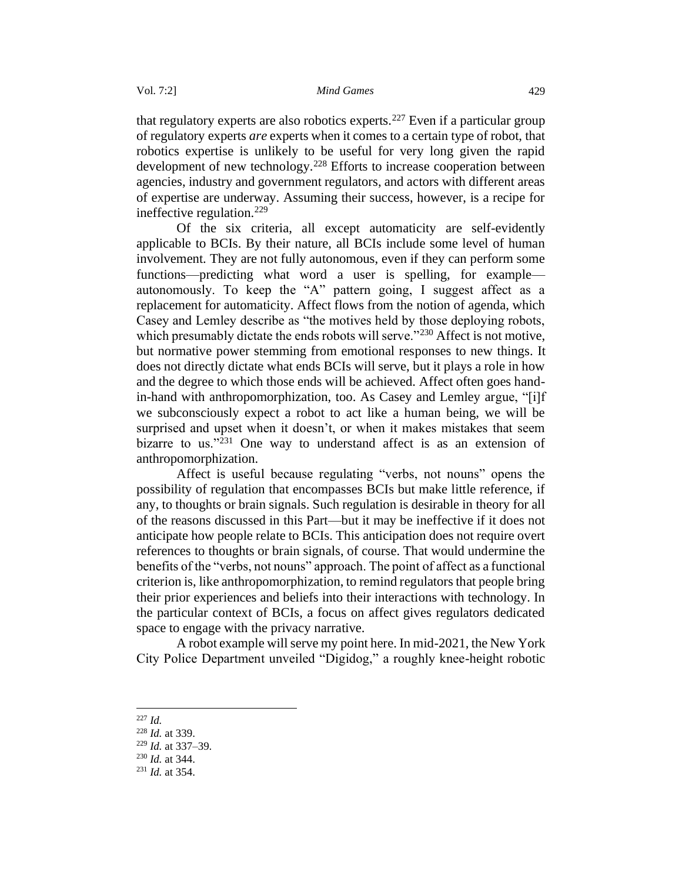that regulatory experts are also robotics experts.<sup>227</sup> Even if a particular group of regulatory experts *are* experts when it comes to a certain type of robot, that robotics expertise is unlikely to be useful for very long given the rapid development of new technology.<sup>228</sup> Efforts to increase cooperation between agencies, industry and government regulators, and actors with different areas of expertise are underway. Assuming their success, however, is a recipe for ineffective regulation.<sup>229</sup>

Of the six criteria, all except automaticity are self-evidently applicable to BCIs. By their nature, all BCIs include some level of human involvement. They are not fully autonomous, even if they can perform some functions—predicting what word a user is spelling, for example autonomously. To keep the "A" pattern going, I suggest affect as a replacement for automaticity. Affect flows from the notion of agenda, which Casey and Lemley describe as "the motives held by those deploying robots, which presumably dictate the ends robots will serve."<sup>230</sup> Affect is not motive, but normative power stemming from emotional responses to new things. It does not directly dictate what ends BCIs will serve, but it plays a role in how and the degree to which those ends will be achieved. Affect often goes handin-hand with anthropomorphization, too. As Casey and Lemley argue, "[i]f we subconsciously expect a robot to act like a human being, we will be surprised and upset when it doesn't, or when it makes mistakes that seem bizarre to us."<sup>231</sup> One way to understand affect is as an extension of anthropomorphization.

Affect is useful because regulating "verbs, not nouns" opens the possibility of regulation that encompasses BCIs but make little reference, if any, to thoughts or brain signals. Such regulation is desirable in theory for all of the reasons discussed in this Part—but it may be ineffective if it does not anticipate how people relate to BCIs. This anticipation does not require overt references to thoughts or brain signals, of course. That would undermine the benefits of the "verbs, not nouns" approach. The point of affect as a functional criterion is, like anthropomorphization, to remind regulators that people bring their prior experiences and beliefs into their interactions with technology. In the particular context of BCIs, a focus on affect gives regulators dedicated space to engage with the privacy narrative.

A robot example will serve my point here. In mid-2021, the New York City Police Department unveiled "Digidog," a roughly knee-height robotic

<sup>227</sup> *Id.* 

<sup>228</sup> *Id.* at 339.

<sup>229</sup> *Id.* at 337–39.

<sup>230</sup> *Id.* at 344.

<sup>231</sup> *Id.* at 354.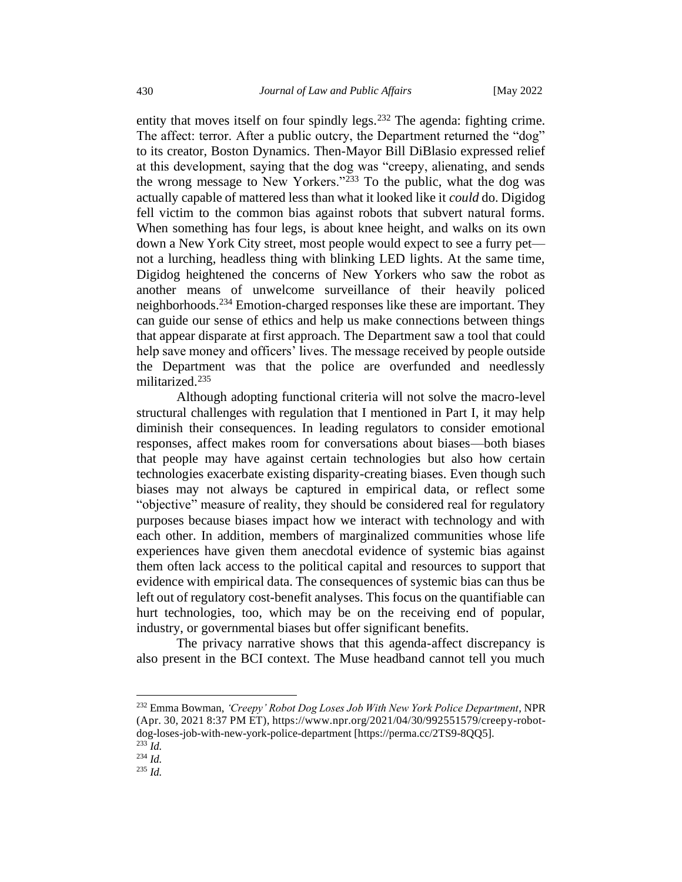entity that moves itself on four spindly legs.<sup>232</sup> The agenda: fighting crime. The affect: terror. After a public outcry, the Department returned the "dog" to its creator, Boston Dynamics. Then-Mayor Bill DiBlasio expressed relief at this development, saying that the dog was "creepy, alienating, and sends the wrong message to New Yorkers."<sup>233</sup> To the public, what the dog was actually capable of mattered less than what it looked like it *could* do. Digidog fell victim to the common bias against robots that subvert natural forms. When something has four legs, is about knee height, and walks on its own down a New York City street, most people would expect to see a furry pet not a lurching, headless thing with blinking LED lights. At the same time, Digidog heightened the concerns of New Yorkers who saw the robot as another means of unwelcome surveillance of their heavily policed neighborhoods.<sup>234</sup> Emotion-charged responses like these are important. They can guide our sense of ethics and help us make connections between things that appear disparate at first approach. The Department saw a tool that could help save money and officers' lives. The message received by people outside the Department was that the police are overfunded and needlessly militarized.<sup>235</sup>

Although adopting functional criteria will not solve the macro-level structural challenges with regulation that I mentioned in Part I, it may help diminish their consequences. In leading regulators to consider emotional responses, affect makes room for conversations about biases—both biases that people may have against certain technologies but also how certain technologies exacerbate existing disparity-creating biases. Even though such biases may not always be captured in empirical data, or reflect some "objective" measure of reality, they should be considered real for regulatory purposes because biases impact how we interact with technology and with each other. In addition, members of marginalized communities whose life experiences have given them anecdotal evidence of systemic bias against them often lack access to the political capital and resources to support that evidence with empirical data. The consequences of systemic bias can thus be left out of regulatory cost-benefit analyses. This focus on the quantifiable can hurt technologies, too, which may be on the receiving end of popular, industry, or governmental biases but offer significant benefits.

The privacy narrative shows that this agenda-affect discrepancy is also present in the BCI context. The Muse headband cannot tell you much

<sup>232</sup> Emma Bowman, *'Creepy' Robot Dog Loses Job With New York Police Department*, NPR (Apr. 30, 2021 8:37 PM ET), https://www.npr.org/2021/04/30/992551579/creepy-robotdog-loses-job-with-new-york-police-department [https://perma.cc/2TS9-8QQ5].  $^{233}$  *Id.* 

 $^{234}$  *Id.* 

<sup>235</sup> *Id.*